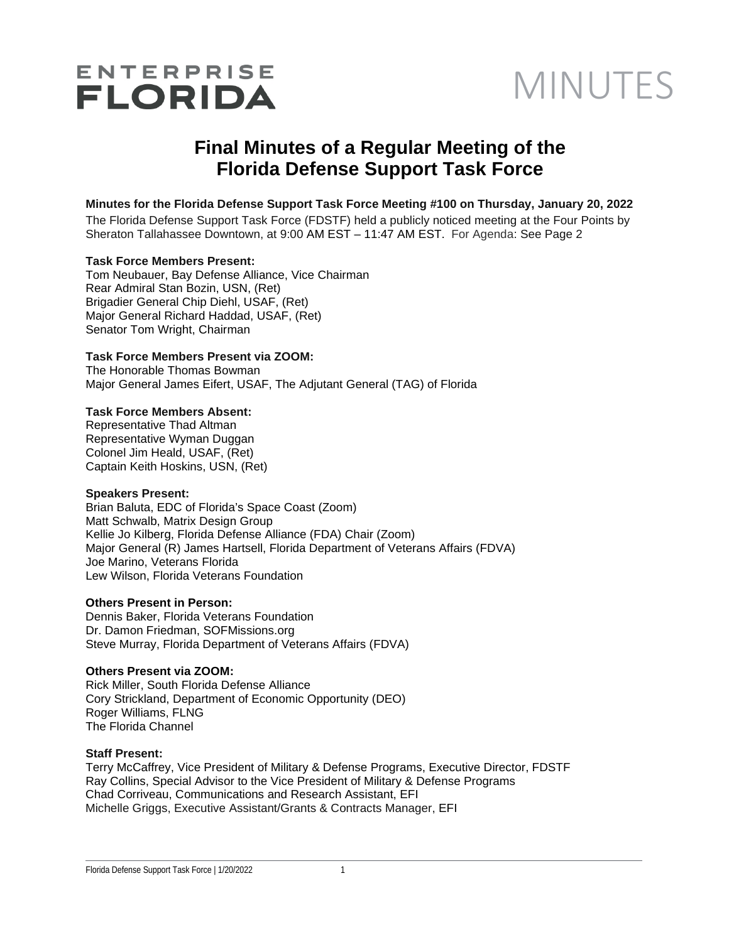# ENTERPRISE<br>FLORIDA MINUTES

## **Final Minutes of a Regular Meeting of the Florida Defense Support Task Force**

#### **Minutes for the Florida Defense Support Task Force Meeting #100 on Thursday, January 20, 2022**

The Florida Defense Support Task Force (FDSTF) held a publicly noticed meeting at the Four Points by Sheraton Tallahassee Downtown, at 9:00 AM EST – 11:47 AM EST. For Agenda: See Page 2

#### **Task Force Members Present:**

Tom Neubauer, Bay Defense Alliance, Vice Chairman Rear Admiral Stan Bozin, USN, (Ret) Brigadier General Chip Diehl, USAF, (Ret) Major General Richard Haddad, USAF, (Ret) Senator Tom Wright, Chairman

#### **Task Force Members Present via ZOOM:**

The Honorable Thomas Bowman Major General James Eifert, USAF, The Adjutant General (TAG) of Florida

#### **Task Force Members Absent:**

Representative Thad Altman Representative Wyman Duggan Colonel Jim Heald, USAF, (Ret) Captain Keith Hoskins, USN, (Ret)

#### **Speakers Present:**

Brian Baluta, EDC of Florida's Space Coast (Zoom) Matt Schwalb, Matrix Design Group Kellie Jo Kilberg, Florida Defense Alliance (FDA) Chair (Zoom) Major General (R) James Hartsell, Florida Department of Veterans Affairs (FDVA) Joe Marino, Veterans Florida Lew Wilson, Florida Veterans Foundation

#### **Others Present in Person:**

Dennis Baker, Florida Veterans Foundation Dr. Damon Friedman, SOFMissions.org Steve Murray, Florida Department of Veterans Affairs (FDVA)

#### **Others Present via ZOOM:**

Rick Miller, South Florida Defense Alliance Cory Strickland, Department of Economic Opportunity (DEO) Roger Williams, FLNG The Florida Channel

#### **Staff Present:**

Terry McCaffrey, Vice President of Military & Defense Programs, Executive Director, FDSTF Ray Collins, Special Advisor to the Vice President of Military & Defense Programs Chad Corriveau, Communications and Research Assistant, EFI Michelle Griggs, Executive Assistant/Grants & Contracts Manager, EFI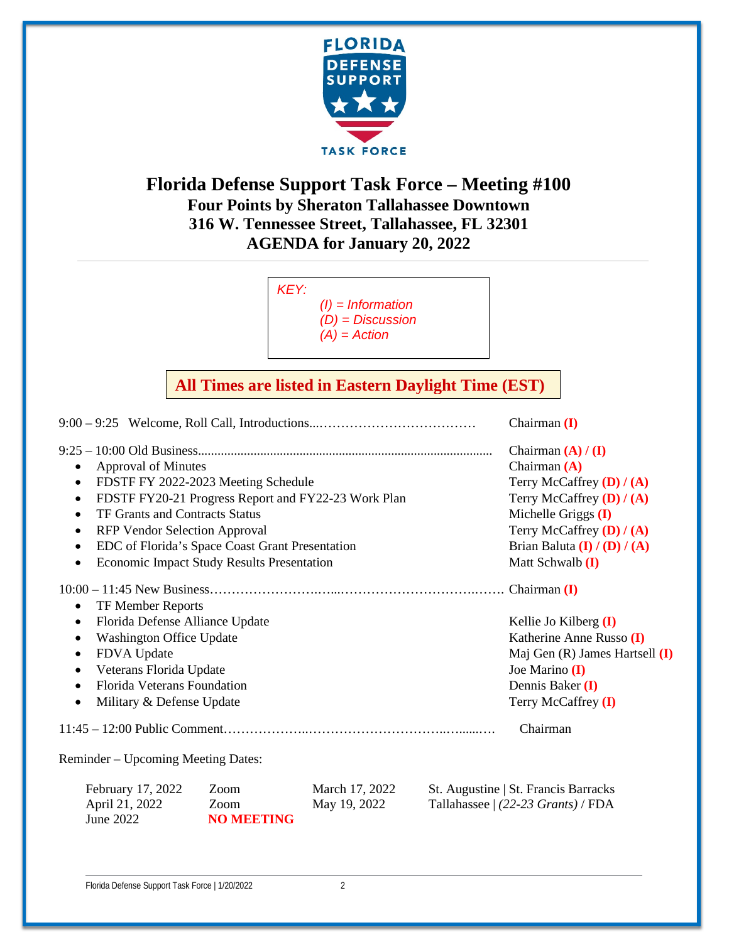

## **Florida Defense Support Task Force – Meeting #100 Four Points by Sheraton Tallahassee Downtown 316 W. Tennessee Street, Tallahassee, FL 32301 AGENDA for January 20, 2022**

*KEY: (I) = Information (D) = Discussion (A) = Action* 

## **All Times are listed in Eastern Daylight Time (EST)**

9:00 – 9:25 Welcome, Roll Call, Introductions...……………………………… Chairman **(I)**  9:25 – 10:00 Old Business.......................................................................................... Chairman **(A) / (I)** • Approval of Minutes **Chairman <b>(A) Chairman (A)** • FDSTF FY 2022-2023 Meeting Schedule Terry McCaffrey **(D)** / **(A)** • FDSTF FY20-21 Progress Report and FY22-23 Work Plan Terry McCaffrey **(D)** / **(A)** • TF Grants and Contracts Status **and Contracts** Status **Michelle Griggs <b>(I)** • RFP Vendor Selection Approval Terry McCaffrey **(D)** / **(A)** • EDC of Florida's Space Coast Grant Presentation Brian Baluta **(I) / (A)**  $\overline{A}$ • Economic Impact Study Results Presentation Matt Schwalb **(I)** 10:00 – 11:45 New Business…………………….…...………………………….……. Chairman **(I)** • TF Member Reports • Florida Defense Alliance Update **Kellie Jo Kilberg** (I) • Washington Office Update **Katherine Anne Russo (I) Katherine Anne Russo (I)** • FDVA Update Maj Gen (R) James Hartsell (I) • Veterans Florida Update **Joe Marino II** Joe Marino **(I)** • Florida Veterans Foundation Dennis Baker **(I)** Military & Defense Update Terry McCaffrey **(I)** 11:45 – 12:00 Public Comment………………..…………………………..…......…. Chairman Reminder – Upcoming Meeting Dates: February 17, 2022 Zoom March 17, 2022 St. Augustine | St. Francis Barracks April 21, 2022 Zoom May 19, 2022 Tallahassee | *(22-23 Grants)* / FDA June 2022 **NO MEETING**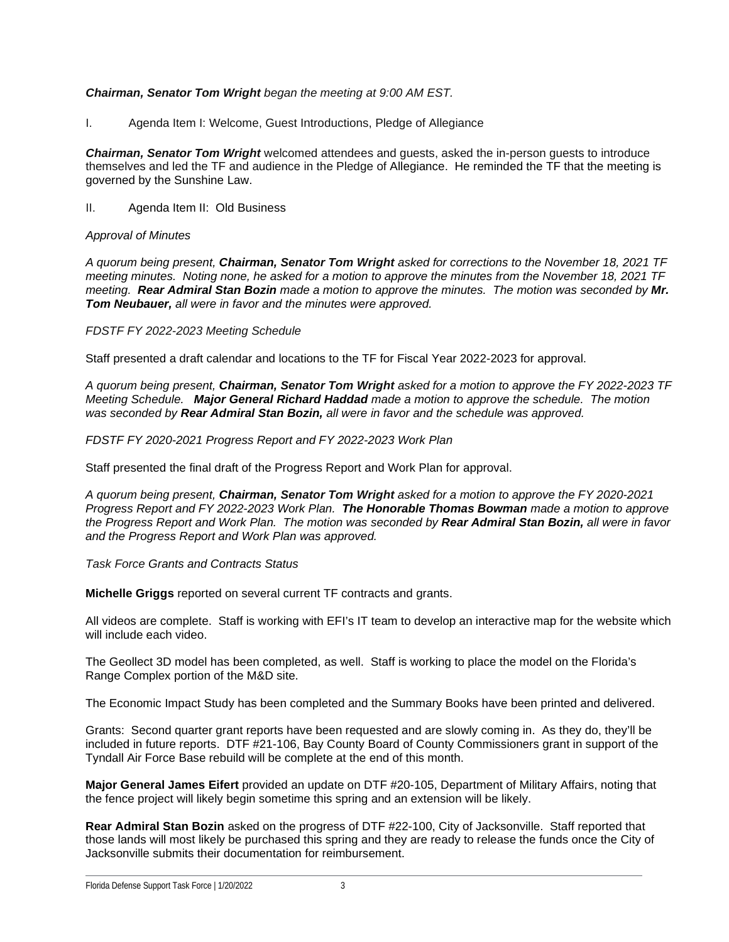#### *Chairman, Senator Tom Wright began the meeting at 9:00 AM EST.*

I. Agenda Item I: Welcome, Guest Introductions, Pledge of Allegiance

*Chairman, Senator Tom Wright* welcomed attendees and guests, asked the in-person guests to introduce themselves and led the TF and audience in the Pledge of Allegiance. He reminded the TF that the meeting is governed by the Sunshine Law.

II. Agenda Item II: Old Business

#### *Approval of Minutes*

*A quorum being present, Chairman, Senator Tom Wright asked for corrections to the November 18, 2021 TF meeting minutes. Noting none, he asked for a motion to approve the minutes from the November 18, 2021 TF meeting. Rear Admiral Stan Bozin made a motion to approve the minutes. The motion was seconded by Mr. Tom Neubauer, all were in favor and the minutes were approved.*

*FDSTF FY 2022-2023 Meeting Schedule*

Staff presented a draft calendar and locations to the TF for Fiscal Year 2022-2023 for approval.

*A quorum being present, Chairman, Senator Tom Wright asked for a motion to approve the FY 2022-2023 TF Meeting Schedule. Major General Richard Haddad made a motion to approve the schedule. The motion was seconded by Rear Admiral Stan Bozin, all were in favor and the schedule was approved.*

#### *FDSTF FY 2020-2021 Progress Report and FY 2022-2023 Work Plan*

Staff presented the final draft of the Progress Report and Work Plan for approval.

*A quorum being present, Chairman, Senator Tom Wright asked for a motion to approve the FY 2020-2021 Progress Report and FY 2022-2023 Work Plan. The Honorable Thomas Bowman made a motion to approve the Progress Report and Work Plan. The motion was seconded by Rear Admiral Stan Bozin, all were in favor and the Progress Report and Work Plan was approved.*

*Task Force Grants and Contracts Status*

**Michelle Griggs** reported on several current TF contracts and grants.

All videos are complete. Staff is working with EFI's IT team to develop an interactive map for the website which will include each video.

The Geollect 3D model has been completed, as well. Staff is working to place the model on the Florida's Range Complex portion of the M&D site.

The Economic Impact Study has been completed and the Summary Books have been printed and delivered.

Grants: Second quarter grant reports have been requested and are slowly coming in. As they do, they'll be included in future reports. DTF #21-106, Bay County Board of County Commissioners grant in support of the Tyndall Air Force Base rebuild will be complete at the end of this month.

**Major General James Eifert** provided an update on DTF #20-105, Department of Military Affairs, noting that the fence project will likely begin sometime this spring and an extension will be likely.

**Rear Admiral Stan Bozin** asked on the progress of DTF #22-100, City of Jacksonville. Staff reported that those lands will most likely be purchased this spring and they are ready to release the funds once the City of Jacksonville submits their documentation for reimbursement.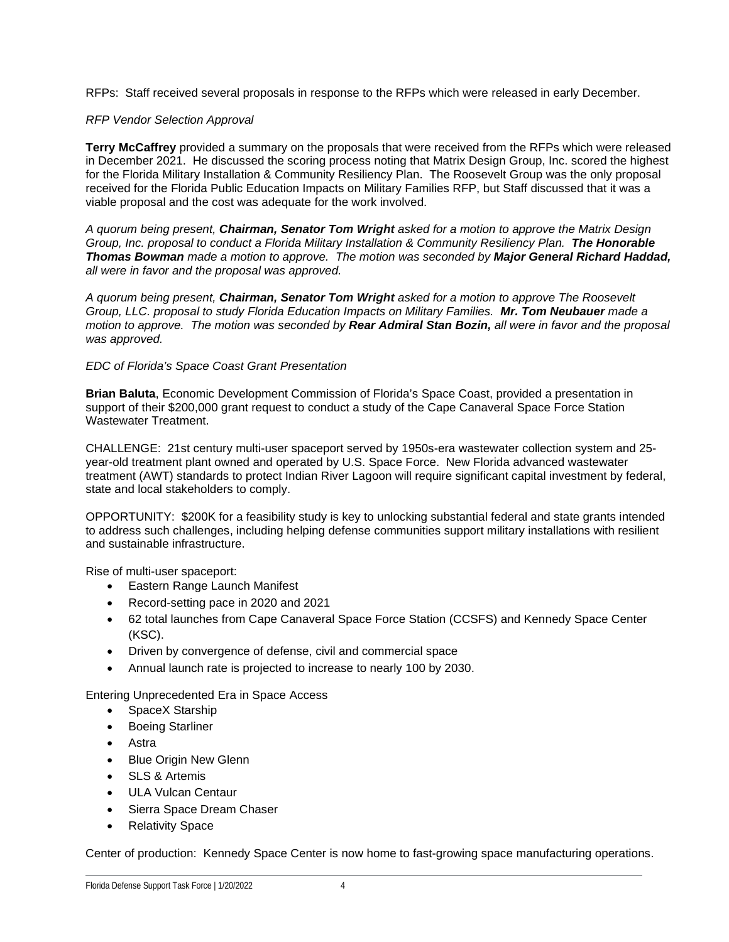RFPs: Staff received several proposals in response to the RFPs which were released in early December.

#### *RFP Vendor Selection Approval*

**Terry McCaffrey** provided a summary on the proposals that were received from the RFPs which were released in December 2021. He discussed the scoring process noting that Matrix Design Group, Inc. scored the highest for the Florida Military Installation & Community Resiliency Plan. The Roosevelt Group was the only proposal received for the Florida Public Education Impacts on Military Families RFP, but Staff discussed that it was a viable proposal and the cost was adequate for the work involved.

*A quorum being present, Chairman, Senator Tom Wright asked for a motion to approve the Matrix Design Group, Inc. proposal to conduct a Florida Military Installation & Community Resiliency Plan. The Honorable Thomas Bowman made a motion to approve. The motion was seconded by Major General Richard Haddad, all were in favor and the proposal was approved.*

*A quorum being present, Chairman, Senator Tom Wright asked for a motion to approve The Roosevelt Group, LLC. proposal to study Florida Education Impacts on Military Families. Mr. Tom Neubauer made a motion to approve. The motion was seconded by Rear Admiral Stan Bozin, all were in favor and the proposal was approved.*

#### *EDC of Florida's Space Coast Grant Presentation*

**Brian Baluta**, Economic Development Commission of Florida's Space Coast, provided a presentation in support of their \$200,000 grant request to conduct a study of the Cape Canaveral Space Force Station Wastewater Treatment.

CHALLENGE: 21st century multi-user spaceport served by 1950s-era wastewater collection system and 25 year-old treatment plant owned and operated by U.S. Space Force. New Florida advanced wastewater treatment (AWT) standards to protect Indian River Lagoon will require significant capital investment by federal, state and local stakeholders to comply.

OPPORTUNITY: \$200K for a feasibility study is key to unlocking substantial federal and state grants intended to address such challenges, including helping defense communities support military installations with resilient and sustainable infrastructure.

Rise of multi-user spaceport:

- Eastern Range Launch Manifest
- Record-setting pace in 2020 and 2021
- 62 total launches from Cape Canaveral Space Force Station (CCSFS) and Kennedy Space Center (KSC).
- Driven by convergence of defense, civil and commercial space
- Annual launch rate is projected to increase to nearly 100 by 2030.

Entering Unprecedented Era in Space Access

- SpaceX Starship
- **Boeing Starliner**
- Astra
- **Blue Origin New Glenn**
- SLS & Artemis
- ULA Vulcan Centaur
- Sierra Space Dream Chaser
- **Relativity Space**

Center of production: Kennedy Space Center is now home to fast-growing space manufacturing operations.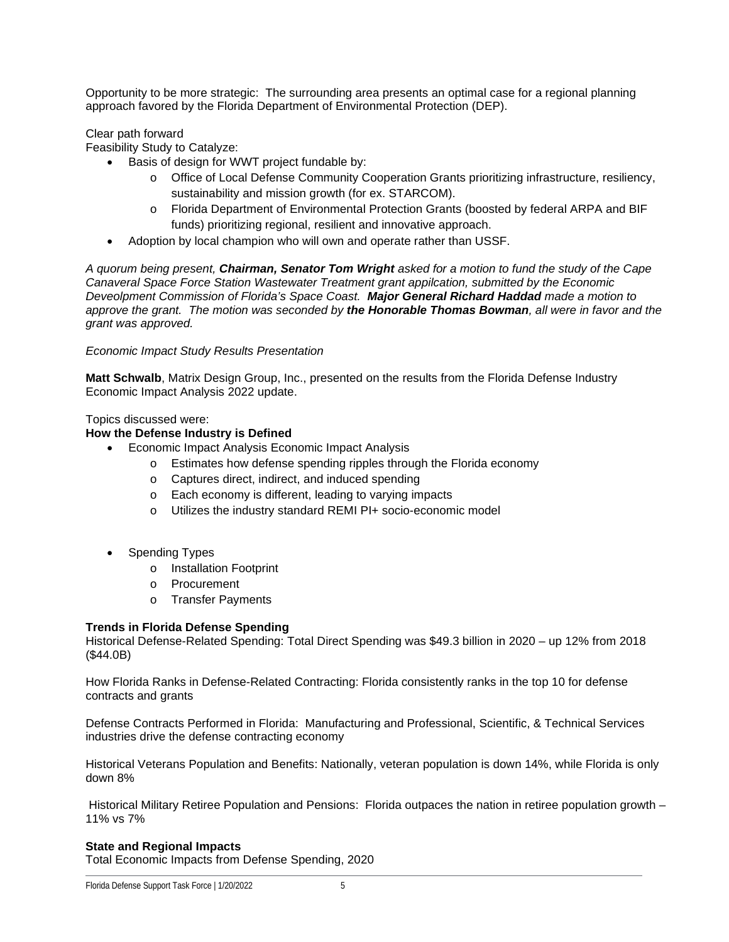Opportunity to be more strategic: The surrounding area presents an optimal case for a regional planning approach favored by the Florida Department of Environmental Protection (DEP).

Clear path forward

Feasibility Study to Catalyze:

- Basis of design for WWT project fundable by:
	- o Office of Local Defense Community Cooperation Grants prioritizing infrastructure, resiliency, sustainability and mission growth (for ex. STARCOM).
	- o Florida Department of Environmental Protection Grants (boosted by federal ARPA and BIF funds) prioritizing regional, resilient and innovative approach.
- Adoption by local champion who will own and operate rather than USSF.

*A quorum being present, Chairman, Senator Tom Wright asked for a motion to fund the study of the Cape Canaveral Space Force Station Wastewater Treatment grant appilcation, submitted by the Economic Deveolpment Commission of Florida's Space Coast. Major General Richard Haddad made a motion to approve the grant. The motion was seconded by the Honorable Thomas Bowman, all were in favor and the grant was approved.*

#### *Economic Impact Study Results Presentation*

**Matt Schwalb**, Matrix Design Group, Inc., presented on the results from the Florida Defense Industry Economic Impact Analysis 2022 update.

Topics discussed were:

#### **How the Defense Industry is Defined**

- Economic Impact Analysis Economic Impact Analysis
	- o Estimates how defense spending ripples through the Florida economy
	- o Captures direct, indirect, and induced spending
	- o Each economy is different, leading to varying impacts
	- o Utilizes the industry standard REMI PI+ socio-economic model
- Spending Types
	- o Installation Footprint
	- o Procurement
	- o Transfer Payments

#### **Trends in Florida Defense Spending**

Historical Defense-Related Spending: Total Direct Spending was \$49.3 billion in 2020 – up 12% from 2018 (\$44.0B)

How Florida Ranks in Defense-Related Contracting: Florida consistently ranks in the top 10 for defense contracts and grants

Defense Contracts Performed in Florida: Manufacturing and Professional, Scientific, & Technical Services industries drive the defense contracting economy

Historical Veterans Population and Benefits: Nationally, veteran population is down 14%, while Florida is only down 8%

Historical Military Retiree Population and Pensions: Florida outpaces the nation in retiree population growth – 11% vs 7%

#### **State and Regional Impacts**

Total Economic Impacts from Defense Spending, 2020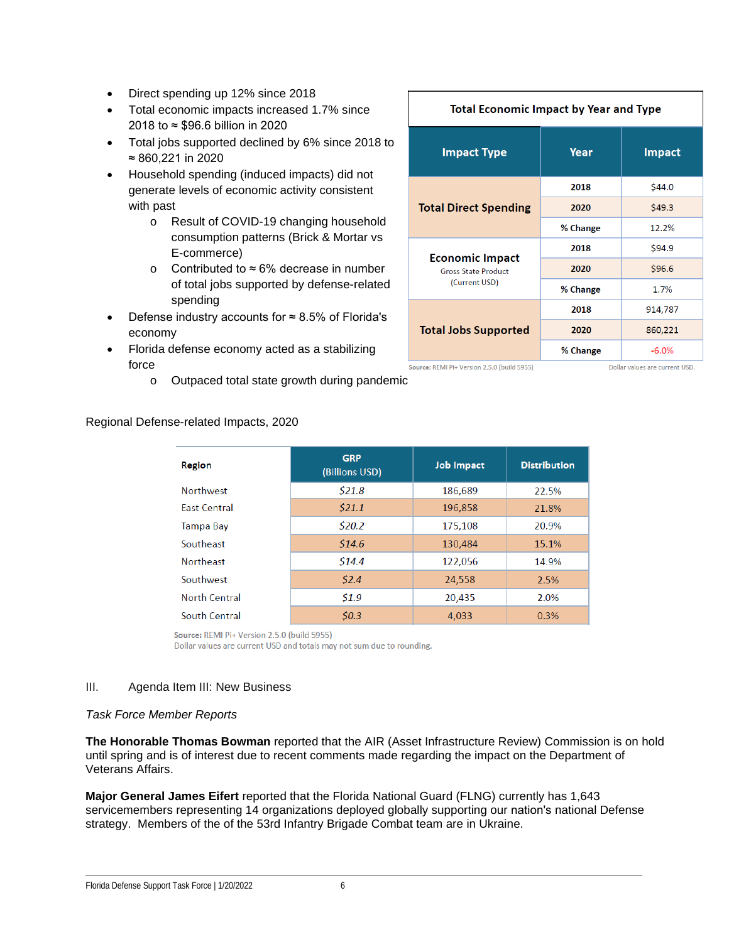- Direct spending up 12% since 2018
- Total economic impacts increased 1.7% since 2018 to ≈ \$96.6 billion in 2020
- Total jobs supported declined by 6% since 2018 to ≈ 860,221 in 2020
- Household spending (induced impacts) did not generate levels of economic activity consistent with past
	- o Result of COVID-19 changing household consumption patterns (Brick & Mortar vs E-commerce)
	- o Contributed to ≈ 6% decrease in number of total jobs supported by defense-related spending
- Defense industry accounts for  $≈ 8.5%$  of Florida's economy
- Florida defense economy acted as a stabilizing force
	- o Outpaced total state growth during pandemic

#### **Total Economic Impact by Year and Type Impact Type** Year **Impact**  $$44.0$ 2018 **Total Direct Spending** 2020  $$49.3$$ % Change 12.2% 2018 \$94.9 **Economic Impact** 2020 \$96.6 **Gross State Product** (Current USD) % Change 1.7% 2018 914,787 **Total Jobs Supported** 2020 860,221 % Change  $-6.0%$

Source: REMI Pi+ Version 2.5.0 (build 5955)

Dollar values are current USD.

| Region               | <b>GRP</b><br>(Billions USD) | <b>Job Impact</b> | <b>Distribution</b> |
|----------------------|------------------------------|-------------------|---------------------|
| <b>Northwest</b>     | \$21.8\$                     | 186,689           | 22.5%               |
| <b>East Central</b>  | \$21.1                       | 196,858           | 21.8%               |
| Tampa Bay            | \$20.2\$                     | 175,108           | 20.9%               |
| Southeast            | \$14.6                       | 130,484           | 15.1%               |
| <b>Northeast</b>     | \$14.4                       | 122,056           | 14.9%               |
| Southwest            | \$2.4\$                      | 24,558            | 2.5%                |
| <b>North Central</b> | 51.9                         | 20,435            | 2.0%                |
| South Central        | 50.3                         | 4.033             | 0.3%                |

Source: REMI Pi+ Version 2.5.0 (build 5955)

Dollar values are current USD and totals may not sum due to rounding.

#### III. Agenda Item III: New Business

Regional Defense-related Impacts, 2020

#### *Task Force Member Reports*

**The Honorable Thomas Bowman** reported that the AIR (Asset Infrastructure Review) Commission is on hold until spring and is of interest due to recent comments made regarding the impact on the Department of Veterans Affairs.

**Major General James Eifert** reported that the Florida National Guard (FLNG) currently has 1,643 servicemembers representing 14 organizations deployed globally supporting our nation's national Defense strategy. Members of the of the 53rd Infantry Brigade Combat team are in Ukraine.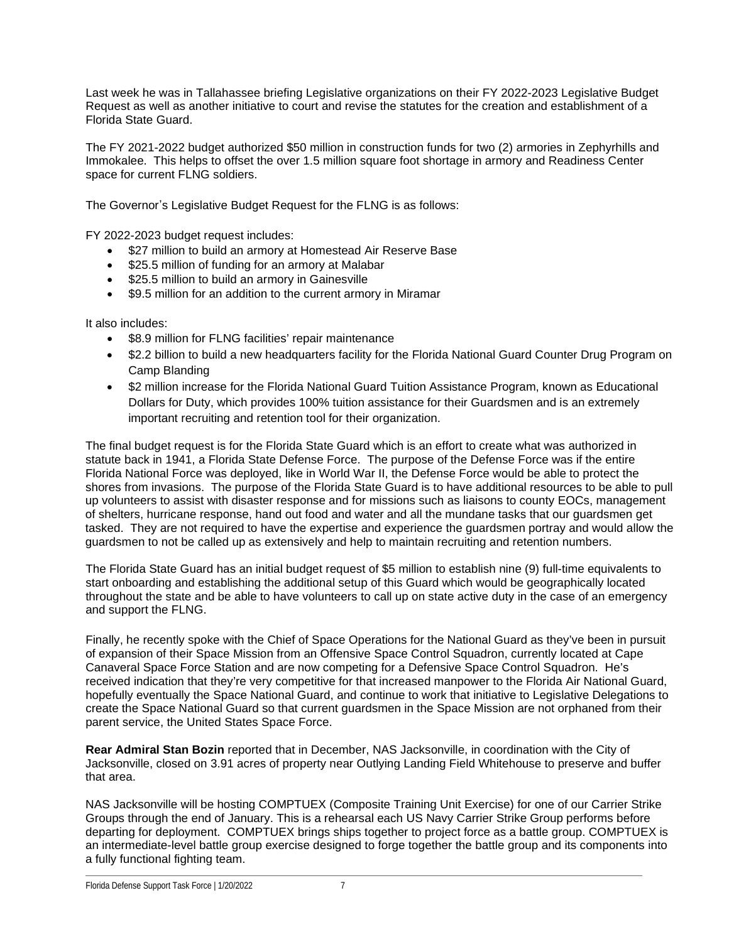Last week he was in Tallahassee briefing Legislative organizations on their FY 2022-2023 Legislative Budget Request as well as another initiative to court and revise the statutes for the creation and establishment of a Florida State Guard.

The FY 2021-2022 budget authorized \$50 million in construction funds for two (2) armories in Zephyrhills and Immokalee. This helps to offset the over 1.5 million square foot shortage in armory and Readiness Center space for current FLNG soldiers.

The Governor's Legislative Budget Request for the FLNG is as follows:

FY 2022-2023 budget request includes:

- \$27 million to build an armory at Homestead Air Reserve Base
- \$25.5 million of funding for an armory at Malabar
- \$25.5 million to build an armory in Gainesville
- \$9.5 million for an addition to the current armory in Miramar

It also includes:

- \$8.9 million for FLNG facilities' repair maintenance
- \$2.2 billion to build a new headquarters facility for the Florida National Guard Counter Drug Program on Camp Blanding
- \$2 million increase for the Florida National Guard Tuition Assistance Program, known as Educational Dollars for Duty, which provides 100% tuition assistance for their Guardsmen and is an extremely important recruiting and retention tool for their organization.

The final budget request is for the Florida State Guard which is an effort to create what was authorized in statute back in 1941, a Florida State Defense Force. The purpose of the Defense Force was if the entire Florida National Force was deployed, like in World War II, the Defense Force would be able to protect the shores from invasions. The purpose of the Florida State Guard is to have additional resources to be able to pull up volunteers to assist with disaster response and for missions such as liaisons to county EOCs, management of shelters, hurricane response, hand out food and water and all the mundane tasks that our guardsmen get tasked. They are not required to have the expertise and experience the guardsmen portray and would allow the guardsmen to not be called up as extensively and help to maintain recruiting and retention numbers.

The Florida State Guard has an initial budget request of \$5 million to establish nine (9) full-time equivalents to start onboarding and establishing the additional setup of this Guard which would be geographically located throughout the state and be able to have volunteers to call up on state active duty in the case of an emergency and support the FLNG.

Finally, he recently spoke with the Chief of Space Operations for the National Guard as they've been in pursuit of expansion of their Space Mission from an Offensive Space Control Squadron, currently located at Cape Canaveral Space Force Station and are now competing for a Defensive Space Control Squadron. He's received indication that they're very competitive for that increased manpower to the Florida Air National Guard, hopefully eventually the Space National Guard, and continue to work that initiative to Legislative Delegations to create the Space National Guard so that current guardsmen in the Space Mission are not orphaned from their parent service, the United States Space Force.

**Rear Admiral Stan Bozin** reported that in December, NAS Jacksonville, in coordination with the City of Jacksonville, closed on 3.91 acres of property near Outlying Landing Field Whitehouse to preserve and buffer that area.

NAS Jacksonville will be hosting COMPTUEX (Composite Training Unit Exercise) for one of our Carrier Strike Groups through the end of January. This is a rehearsal each US Navy Carrier Strike Group performs before departing for deployment. COMPTUEX brings ships together to project force as a battle group. COMPTUEX is an intermediate-level battle group exercise designed to forge together the battle group and its components into a fully functional fighting team.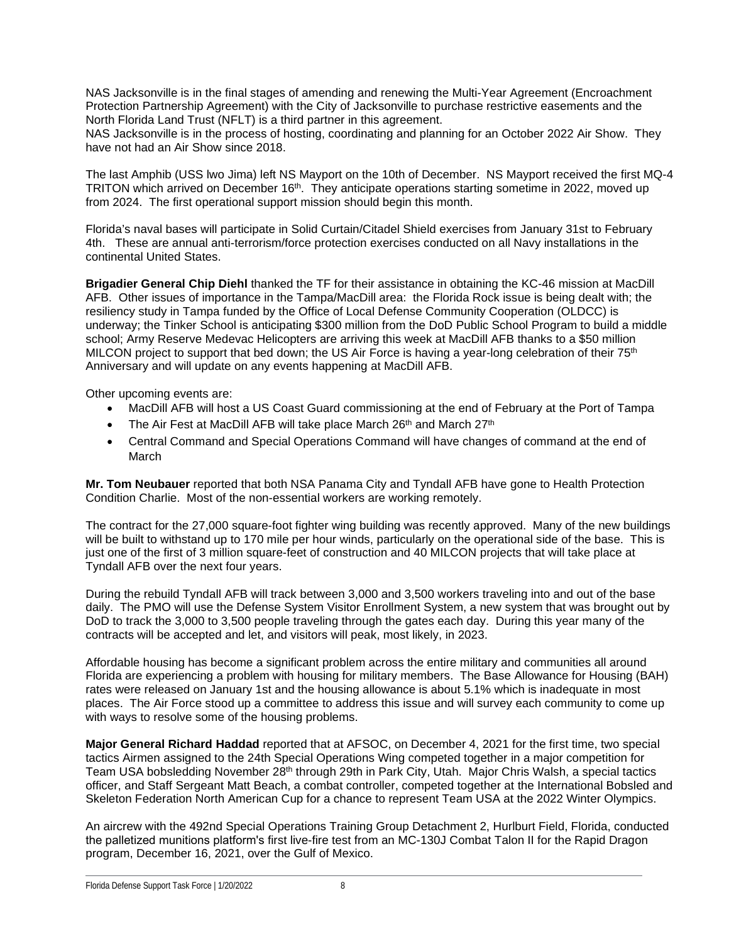NAS Jacksonville is in the final stages of amending and renewing the Multi-Year Agreement (Encroachment Protection Partnership Agreement) with the City of Jacksonville to purchase restrictive easements and the North Florida Land Trust (NFLT) is a third partner in this agreement.

NAS Jacksonville is in the process of hosting, coordinating and planning for an October 2022 Air Show. They have not had an Air Show since 2018.

The last Amphib (USS lwo Jima) left NS Mayport on the 10th of December. NS Mayport received the first MQ-4 TRITON which arrived on December 16<sup>th</sup>. They anticipate operations starting sometime in 2022, moved up from 2024. The first operational support mission should begin this month.

Florida's naval bases will participate in Solid Curtain/Citadel Shield exercises from January 31st to February 4th. These are annual anti-terrorism/force protection exercises conducted on all Navy installations in the continental United States.

**Brigadier General Chip Diehl** thanked the TF for their assistance in obtaining the KC-46 mission at MacDill AFB. Other issues of importance in the Tampa/MacDill area: the Florida Rock issue is being dealt with; the resiliency study in Tampa funded by the Office of Local Defense Community Cooperation (OLDCC) is underway; the Tinker School is anticipating \$300 million from the DoD Public School Program to build a middle school; Army Reserve Medevac Helicopters are arriving this week at MacDill AFB thanks to a \$50 million MILCON project to support that bed down; the US Air Force is having a year-long celebration of their 75<sup>th</sup> Anniversary and will update on any events happening at MacDill AFB.

Other upcoming events are:

- MacDill AFB will host a US Coast Guard commissioning at the end of February at the Port of Tampa
- The Air Fest at MacDill AFB will take place March 26<sup>th</sup> and March 27<sup>th</sup>
- Central Command and Special Operations Command will have changes of command at the end of March

**Mr. Tom Neubauer** reported that both NSA Panama City and Tyndall AFB have gone to Health Protection Condition Charlie. Most of the non-essential workers are working remotely.

The contract for the 27,000 square-foot fighter wing building was recently approved. Many of the new buildings will be built to withstand up to 170 mile per hour winds, particularly on the operational side of the base. This is just one of the first of 3 million square-feet of construction and 40 MILCON projects that will take place at Tyndall AFB over the next four years.

During the rebuild Tyndall AFB will track between 3,000 and 3,500 workers traveling into and out of the base daily. The PMO will use the Defense System Visitor Enrollment System, a new system that was brought out by DoD to track the 3,000 to 3,500 people traveling through the gates each day. During this year many of the contracts will be accepted and let, and visitors will peak, most likely, in 2023.

Affordable housing has become a significant problem across the entire military and communities all around Florida are experiencing a problem with housing for military members. The Base Allowance for Housing (BAH) rates were released on January 1st and the housing allowance is about 5.1% which is inadequate in most places. The Air Force stood up a committee to address this issue and will survey each community to come up with ways to resolve some of the housing problems.

**Major General Richard Haddad** reported that at AFSOC, on December 4, 2021 for the first time, two special tactics Airmen assigned to the 24th Special Operations Wing competed together in a major competition for Team USA bobsledding November 28th through 29th in Park City, Utah. Major Chris Walsh, a special tactics officer, and Staff Sergeant Matt Beach, a combat controller, competed together at the International Bobsled and Skeleton Federation North American Cup for a chance to represent Team USA at the 2022 Winter Olympics.

An aircrew with the 492nd Special Operations Training Group Detachment 2, Hurlburt Field, Florida, conducted the palletized munitions platform's first live-fire test from an MC-130J Combat Talon II for the Rapid Dragon program, December 16, 2021, over the Gulf of Mexico.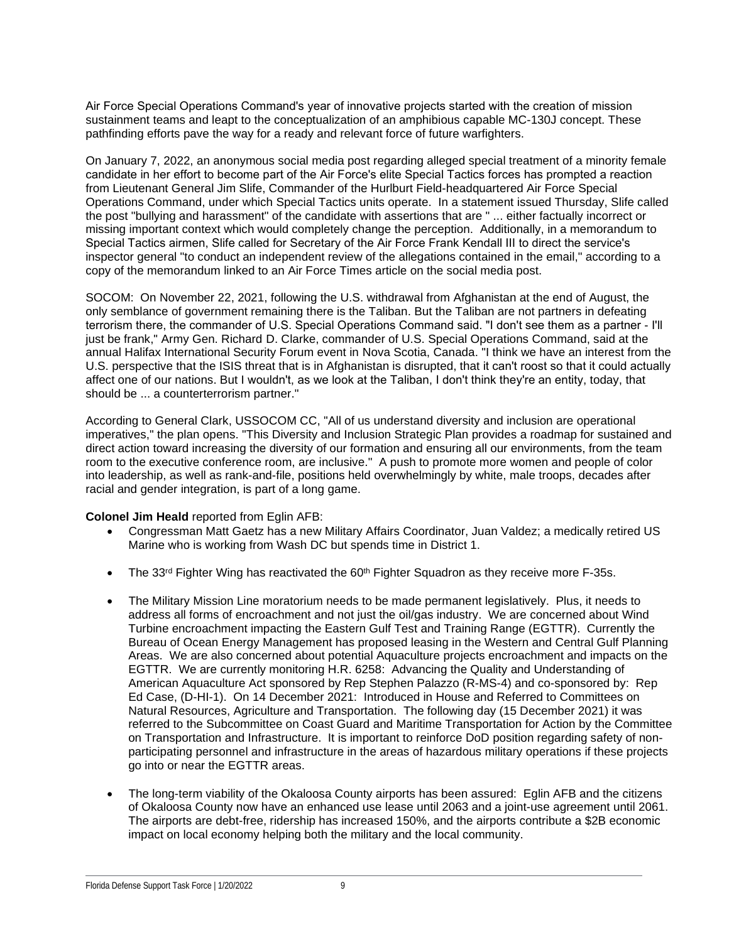Air Force Special Operations Command's year of innovative projects started with the creation of mission sustainment teams and leapt to the conceptualization of an amphibious capable MC-130J concept. These pathfinding efforts pave the way for a ready and relevant force of future warfighters.

On January 7, 2022, an anonymous social media post regarding alleged special treatment of a minority female candidate in her effort to become part of the Air Force's elite Special Tactics forces has prompted a reaction from Lieutenant General Jim Slife, Commander of the Hurlburt Field-headquartered Air Force Special Operations Command, under which Special Tactics units operate. In a statement issued Thursday, Slife called the post "bullying and harassment" of the candidate with assertions that are " ... either factually incorrect or missing important context which would completely change the perception. Additionally, in a memorandum to Special Tactics airmen, Slife called for Secretary of the Air Force Frank Kendall III to direct the service's inspector general "to conduct an independent review of the allegations contained in the email," according to a copy of the memorandum linked to an Air Force Times article on the social media post.

SOCOM: On November 22, 2021, following the U.S. withdrawal from Afghanistan at the end of August, the only semblance of government remaining there is the Taliban. But the Taliban are not partners in defeating terrorism there, the commander of U.S. Special Operations Command said. "I don't see them as a partner - I'll just be frank," Army Gen. Richard D. Clarke, commander of U.S. Special Operations Command, said at the annual Halifax International Security Forum event in Nova Scotia, Canada. "I think we have an interest from the U.S. perspective that the ISIS threat that is in Afghanistan is disrupted, that it can't roost so that it could actually affect one of our nations. But I wouldn't, as we look at the Taliban, I don't think they're an entity, today, that should be ... a counterterrorism partner."

According to General Clark, USSOCOM CC, "All of us understand diversity and inclusion are operational imperatives," the plan opens. "This Diversity and Inclusion Strategic Plan provides a roadmap for sustained and direct action toward increasing the diversity of our formation and ensuring all our environments, from the team room to the executive conference room, are inclusive." A push to promote more women and people of color into leadership, as well as rank-and-file, positions held overwhelmingly by white, male troops, decades after racial and gender integration, is part of a long game.

#### **Colonel Jim Heald** reported from Eglin AFB:

- Congressman Matt Gaetz has a new Military Affairs Coordinator, Juan Valdez; a medically retired US Marine who is working from Wash DC but spends time in District 1.
- The 33<sup>rd</sup> Fighter Wing has reactivated the  $60<sup>th</sup>$  Fighter Squadron as they receive more F-35s.
- The Military Mission Line moratorium needs to be made permanent legislatively. Plus, it needs to address all forms of encroachment and not just the oil/gas industry. We are concerned about Wind Turbine encroachment impacting the Eastern Gulf Test and Training Range (EGTTR). Currently the Bureau of Ocean Energy Management has proposed leasing in the Western and Central Gulf Planning Areas. We are also concerned about potential Aquaculture projects encroachment and impacts on the EGTTR. We are currently monitoring H.R. 6258: Advancing the Quality and Understanding of American Aquaculture Act sponsored by Rep Stephen Palazzo (R-MS-4) and co-sponsored by: Rep Ed Case, (D-HI-1). On 14 December 2021: Introduced in House and Referred to Committees on Natural Resources, Agriculture and Transportation. The following day (15 December 2021) it was referred to the Subcommittee on Coast Guard and Maritime Transportation for Action by the Committee on Transportation and Infrastructure. It is important to reinforce DoD position regarding safety of nonparticipating personnel and infrastructure in the areas of hazardous military operations if these projects go into or near the EGTTR areas.
- The long-term viability of the Okaloosa County airports has been assured: Eglin AFB and the citizens of Okaloosa County now have an enhanced use lease until 2063 and a joint-use agreement until 2061. The airports are debt-free, ridership has increased 150%, and the airports contribute a \$2B economic impact on local economy helping both the military and the local community.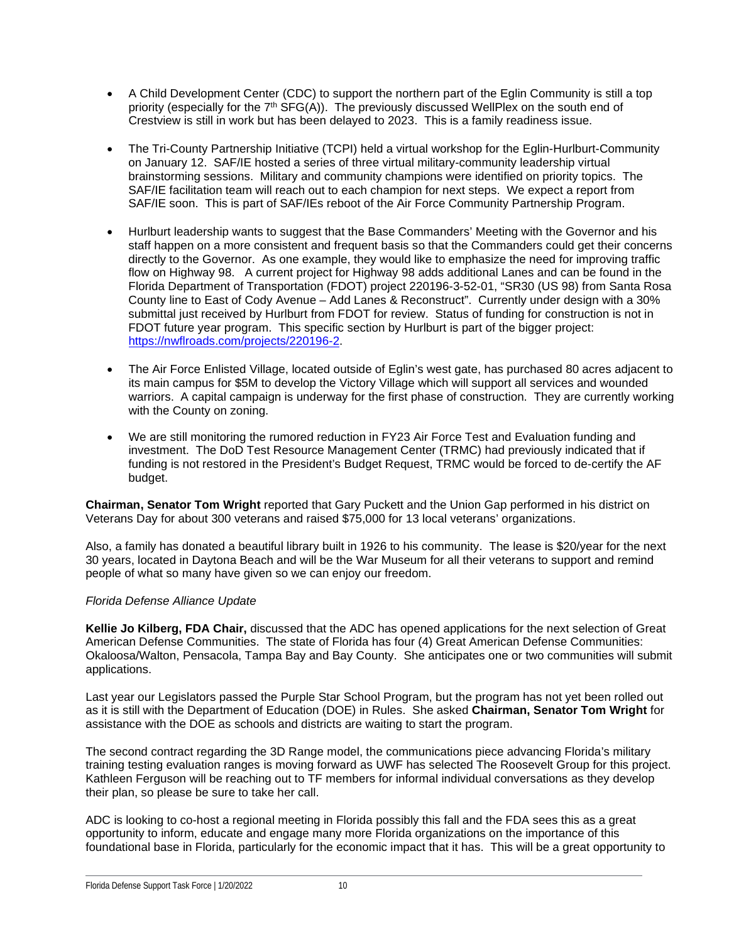- A Child Development Center (CDC) to support the northern part of the Eglin Community is still a top priority (especially for the  $7<sup>th</sup>$  SFG(A)). The previously discussed WellPlex on the south end of Crestview is still in work but has been delayed to 2023. This is a family readiness issue.
- The Tri-County Partnership Initiative (TCPI) held a virtual workshop for the Eglin-Hurlburt-Community on January 12. SAF/IE hosted a series of three virtual military-community leadership virtual brainstorming sessions. Military and community champions were identified on priority topics. The SAF/IE facilitation team will reach out to each champion for next steps. We expect a report from SAF/IE soon. This is part of SAF/IEs reboot of the Air Force Community Partnership Program.
- Hurlburt leadership wants to suggest that the Base Commanders' Meeting with the Governor and his staff happen on a more consistent and frequent basis so that the Commanders could get their concerns directly to the Governor. As one example, they would like to emphasize the need for improving traffic flow on Highway 98. A current project for Highway 98 adds additional Lanes and can be found in the Florida Department of Transportation (FDOT) project 220196-3-52-01, "SR30 (US 98) from Santa Rosa County line to East of Cody Avenue – Add Lanes & Reconstruct". Currently under design with a 30% submittal just received by Hurlburt from FDOT for review. Status of funding for construction is not in FDOT future year program. This specific section by Hurlburt is part of the bigger project: [https://nwflroads.com/projects/220196-2.](https://nwflroads.com/projects/220196-2)
- The Air Force Enlisted Village, located outside of Eglin's west gate, has purchased 80 acres adjacent to its main campus for \$5M to develop the Victory Village which will support all services and wounded warriors. A capital campaign is underway for the first phase of construction. They are currently working with the County on zoning.
- We are still monitoring the rumored reduction in FY23 Air Force Test and Evaluation funding and investment. The DoD Test Resource Management Center (TRMC) had previously indicated that if funding is not restored in the President's Budget Request, TRMC would be forced to de-certify the AF budget.

**Chairman, Senator Tom Wright** reported that Gary Puckett and the Union Gap performed in his district on Veterans Day for about 300 veterans and raised \$75,000 for 13 local veterans' organizations.

Also, a family has donated a beautiful library built in 1926 to his community. The lease is \$20/year for the next 30 years, located in Daytona Beach and will be the War Museum for all their veterans to support and remind people of what so many have given so we can enjoy our freedom.

#### *Florida Defense Alliance Update*

**Kellie Jo Kilberg, FDA Chair,** discussed that the ADC has opened applications for the next selection of Great American Defense Communities. The state of Florida has four (4) Great American Defense Communities: Okaloosa/Walton, Pensacola, Tampa Bay and Bay County. She anticipates one or two communities will submit applications.

Last year our Legislators passed the Purple Star School Program, but the program has not yet been rolled out as it is still with the Department of Education (DOE) in Rules. She asked **Chairman, Senator Tom Wright** for assistance with the DOE as schools and districts are waiting to start the program.

The second contract regarding the 3D Range model, the communications piece advancing Florida's military training testing evaluation ranges is moving forward as UWF has selected The Roosevelt Group for this project. Kathleen Ferguson will be reaching out to TF members for informal individual conversations as they develop their plan, so please be sure to take her call.

ADC is looking to co-host a regional meeting in Florida possibly this fall and the FDA sees this as a great opportunity to inform, educate and engage many more Florida organizations on the importance of this foundational base in Florida, particularly for the economic impact that it has. This will be a great opportunity to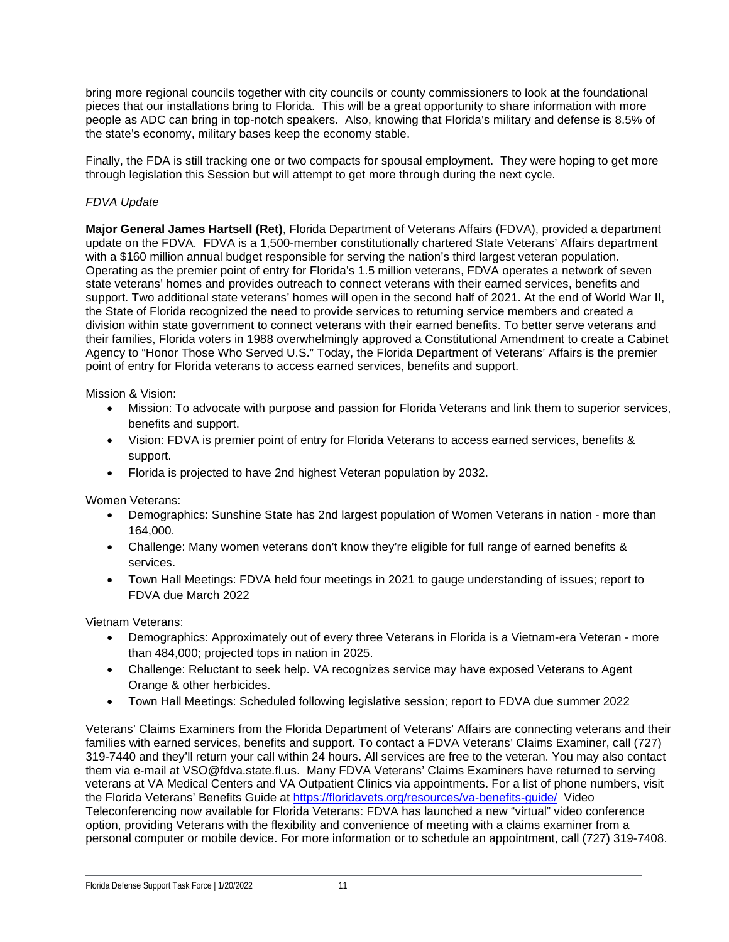bring more regional councils together with city councils or county commissioners to look at the foundational pieces that our installations bring to Florida. This will be a great opportunity to share information with more people as ADC can bring in top-notch speakers. Also, knowing that Florida's military and defense is 8.5% of the state's economy, military bases keep the economy stable.

Finally, the FDA is still tracking one or two compacts for spousal employment. They were hoping to get more through legislation this Session but will attempt to get more through during the next cycle.

#### *FDVA Update*

**Major General James Hartsell (Ret)**, Florida Department of Veterans Affairs (FDVA), provided a department update on the FDVA. FDVA is a 1,500-member constitutionally chartered State Veterans' Affairs department with a \$160 million annual budget responsible for serving the nation's third largest veteran population. Operating as the premier point of entry for Florida's 1.5 million veterans, FDVA operates a network of seven state veterans' homes and provides outreach to connect veterans with their earned services, benefits and support. Two additional state veterans' homes will open in the second half of 2021. At the end of World War II, the State of Florida recognized the need to provide services to returning service members and created a division within state government to connect veterans with their earned benefits. To better serve veterans and their families, Florida voters in 1988 overwhelmingly approved a Constitutional Amendment to create a Cabinet Agency to "Honor Those Who Served U.S." Today, the Florida Department of Veterans' Affairs is the premier point of entry for Florida veterans to access earned services, benefits and support.

Mission & Vision:

- Mission: To advocate with purpose and passion for Florida Veterans and link them to superior services, benefits and support.
- Vision: FDVA is premier point of entry for Florida Veterans to access earned services, benefits & support.
- Florida is projected to have 2nd highest Veteran population by 2032.

Women Veterans:

- Demographics: Sunshine State has 2nd largest population of Women Veterans in nation more than 164,000.
- Challenge: Many women veterans don't know they're eligible for full range of earned benefits & services.
- Town Hall Meetings: FDVA held four meetings in 2021 to gauge understanding of issues; report to FDVA due March 2022

Vietnam Veterans:

- Demographics: Approximately out of every three Veterans in Florida is a Vietnam-era Veteran more than 484,000; projected tops in nation in 2025.
- Challenge: Reluctant to seek help. VA recognizes service may have exposed Veterans to Agent Orange & other herbicides.
- Town Hall Meetings: Scheduled following legislative session; report to FDVA due summer 2022

Veterans' Claims Examiners from the Florida Department of Veterans' Affairs are connecting veterans and their families with earned services, benefits and support. To contact a FDVA Veterans' Claims Examiner, call (727) 319-7440 and they'll return your call within 24 hours. All services are free to the veteran. You may also contact them via e-mail at VSO@fdva.state.fl.us. Many FDVA Veterans' Claims Examiners have returned to serving veterans at VA Medical Centers and VA Outpatient Clinics via appointments. For a list of phone numbers, visit the Florida Veterans' Benefits Guide at<https://floridavets.org/resources/va-benefits-guide/>Video Teleconferencing now available for Florida Veterans: FDVA has launched a new "virtual" video conference option, providing Veterans with the flexibility and convenience of meeting with a claims examiner from a personal computer or mobile device. For more information or to schedule an appointment, call (727) 319-7408.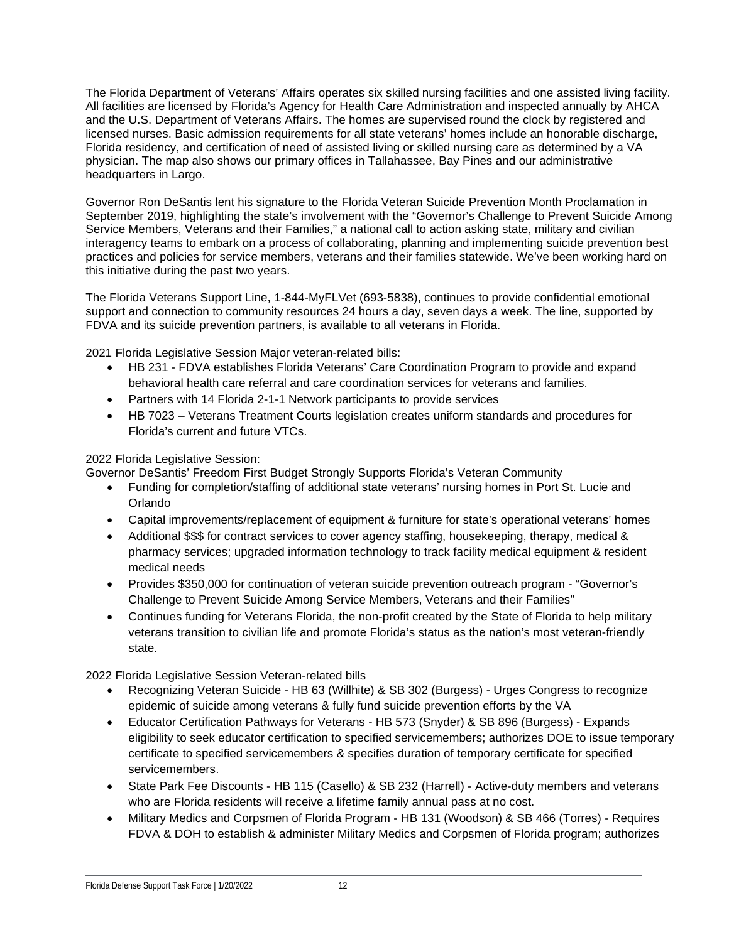The Florida Department of Veterans' Affairs operates six skilled nursing facilities and one assisted living facility. All facilities are licensed by Florida's Agency for Health Care Administration and inspected annually by AHCA and the U.S. Department of Veterans Affairs. The homes are supervised round the clock by registered and licensed nurses. Basic admission requirements for all state veterans' homes include an honorable discharge, Florida residency, and certification of need of assisted living or skilled nursing care as determined by a VA physician. The map also shows our primary offices in Tallahassee, Bay Pines and our administrative headquarters in Largo.

Governor Ron DeSantis lent his signature to the Florida Veteran Suicide Prevention Month Proclamation in September 2019, highlighting the state's involvement with the "Governor's Challenge to Prevent Suicide Among Service Members, Veterans and their Families," a national call to action asking state, military and civilian interagency teams to embark on a process of collaborating, planning and implementing suicide prevention best practices and policies for service members, veterans and their families statewide. We've been working hard on this initiative during the past two years.

The Florida Veterans Support Line, 1-844-MyFLVet (693-5838), continues to provide confidential emotional support and connection to community resources 24 hours a day, seven days a week. The line, supported by FDVA and its suicide prevention partners, is available to all veterans in Florida.

2021 Florida Legislative Session Major veteran-related bills:

- HB 231 FDVA establishes Florida Veterans' Care Coordination Program to provide and expand behavioral health care referral and care coordination services for veterans and families.
- Partners with 14 Florida 2-1-1 Network participants to provide services
- HB 7023 Veterans Treatment Courts legislation creates uniform standards and procedures for Florida's current and future VTCs.

#### 2022 Florida Legislative Session:

Governor DeSantis' Freedom First Budget Strongly Supports Florida's Veteran Community

- Funding for completion/staffing of additional state veterans' nursing homes in Port St. Lucie and Orlando
- Capital improvements/replacement of equipment & furniture for state's operational veterans' homes
- Additional \$\$\$ for contract services to cover agency staffing, housekeeping, therapy, medical & pharmacy services; upgraded information technology to track facility medical equipment & resident medical needs
- Provides \$350,000 for continuation of veteran suicide prevention outreach program "Governor's Challenge to Prevent Suicide Among Service Members, Veterans and their Families"
- Continues funding for Veterans Florida, the non-profit created by the State of Florida to help military veterans transition to civilian life and promote Florida's status as the nation's most veteran-friendly state.

2022 Florida Legislative Session Veteran-related bills

- Recognizing Veteran Suicide HB 63 (Willhite) & SB 302 (Burgess) Urges Congress to recognize epidemic of suicide among veterans & fully fund suicide prevention efforts by the VA
- Educator Certification Pathways for Veterans HB 573 (Snyder) & SB 896 (Burgess) Expands eligibility to seek educator certification to specified servicemembers; authorizes DOE to issue temporary certificate to specified servicemembers & specifies duration of temporary certificate for specified servicemembers.
- State Park Fee Discounts HB 115 (Casello) & SB 232 (Harrell) Active-duty members and veterans who are Florida residents will receive a lifetime family annual pass at no cost.
- Military Medics and Corpsmen of Florida Program HB 131 (Woodson) & SB 466 (Torres) Requires FDVA & DOH to establish & administer Military Medics and Corpsmen of Florida program; authorizes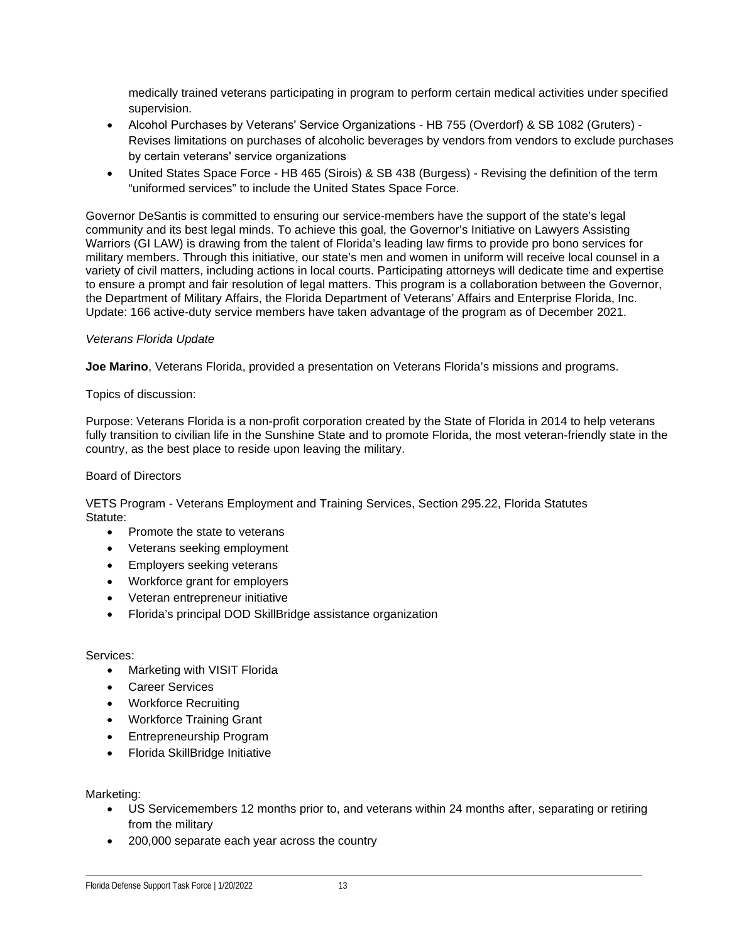medically trained veterans participating in program to perform certain medical activities under specified supervision.

- Alcohol Purchases by Veterans' Service Organizations HB 755 (Overdorf) & SB 1082 (Gruters) Revises limitations on purchases of alcoholic beverages by vendors from vendors to exclude purchases by certain veterans' service organizations
- United States Space Force HB 465 (Sirois) & SB 438 (Burgess) Revising the definition of the term "uniformed services" to include the United States Space Force.

Governor DeSantis is committed to ensuring our service-members have the support of the state's legal community and its best legal minds. To achieve this goal, the Governor's Initiative on Lawyers Assisting Warriors (GI LAW) is drawing from the talent of Florida's leading law firms to provide pro bono services for military members. Through this initiative, our state's men and women in uniform will receive local counsel in a variety of civil matters, including actions in local courts. Participating attorneys will dedicate time and expertise to ensure a prompt and fair resolution of legal matters. This program is a collaboration between the Governor, the Department of Military Affairs, the Florida Department of Veterans' Affairs and Enterprise Florida, Inc. Update: 166 active-duty service members have taken advantage of the program as of December 2021.

#### *Veterans Florida Update*

**Joe Marino**, Veterans Florida, provided a presentation on Veterans Florida's missions and programs.

#### Topics of discussion:

Purpose: Veterans Florida is a non-profit corporation created by the State of Florida in 2014 to help veterans fully transition to civilian life in the Sunshine State and to promote Florida, the most veteran-friendly state in the country, as the best place to reside upon leaving the military.

#### Board of Directors

VETS Program - Veterans Employment and Training Services, Section 295.22, Florida Statutes Statute:

- Promote the state to veterans
- Veterans seeking employment
- Employers seeking veterans
- Workforce grant for employers
- Veteran entrepreneur initiative
- Florida's principal DOD SkillBridge assistance organization

#### Services:

- Marketing with VISIT Florida
- Career Services
- Workforce Recruiting
- Workforce Training Grant
- Entrepreneurship Program
- Florida SkillBridge Initiative

#### Marketing:

- US Servicemembers 12 months prior to, and veterans within 24 months after, separating or retiring from the military
- 200,000 separate each year across the country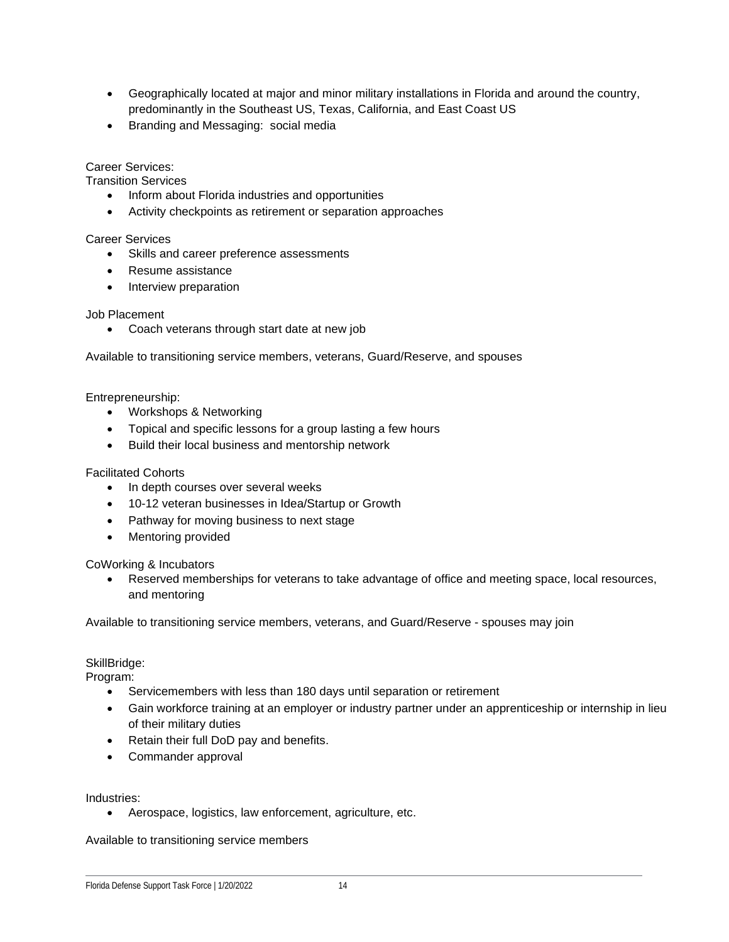- Geographically located at major and minor military installations in Florida and around the country, predominantly in the Southeast US, Texas, California, and East Coast US
- Branding and Messaging: social media

#### Career Services:

Transition Services

- Inform about Florida industries and opportunities
- Activity checkpoints as retirement or separation approaches

#### Career Services

- Skills and career preference assessments
- Resume assistance
- Interview preparation

#### Job Placement

• Coach veterans through start date at new job

Available to transitioning service members, veterans, Guard/Reserve, and spouses

Entrepreneurship:

- Workshops & Networking
- Topical and specific lessons for a group lasting a few hours
- Build their local business and mentorship network

#### Facilitated Cohorts

- In depth courses over several weeks
- 10-12 veteran businesses in Idea/Startup or Growth
- Pathway for moving business to next stage
- Mentoring provided

CoWorking & Incubators

• Reserved memberships for veterans to take advantage of office and meeting space, local resources, and mentoring

Available to transitioning service members, veterans, and Guard/Reserve - spouses may join

#### SkillBridge:

Program:

- Servicemembers with less than 180 days until separation or retirement
- Gain workforce training at an employer or industry partner under an apprenticeship or internship in lieu of their military duties
- Retain their full DoD pay and benefits.
- Commander approval

Industries:

• Aerospace, logistics, law enforcement, agriculture, etc.

Available to transitioning service members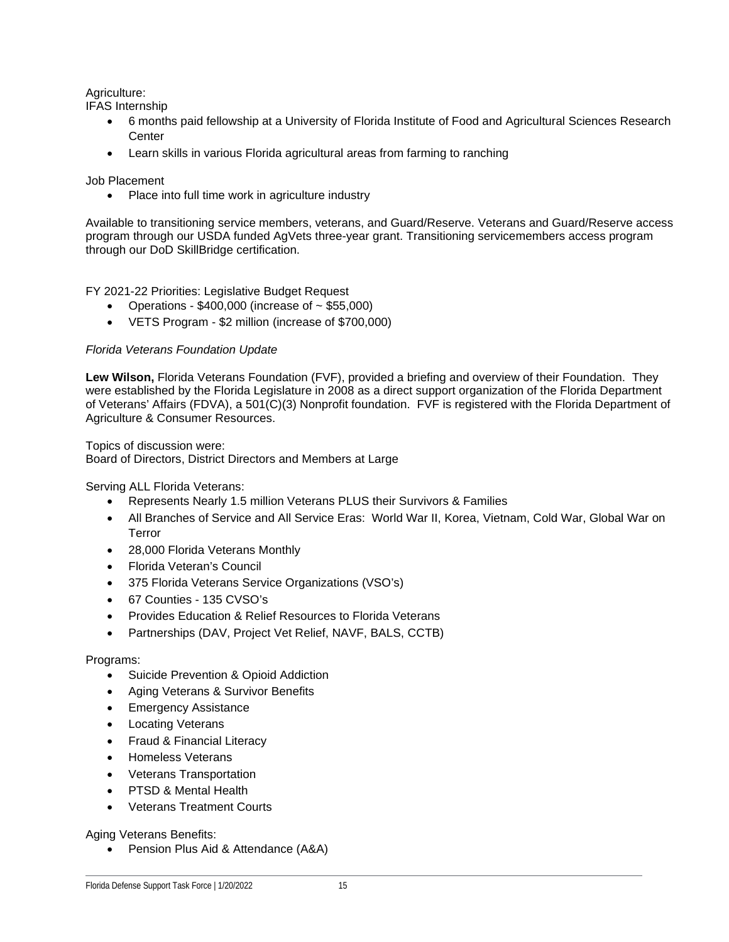#### Agriculture:

IFAS Internship

- 6 months paid fellowship at a University of Florida Institute of Food and Agricultural Sciences Research **Center**
- Learn skills in various Florida agricultural areas from farming to ranching

#### Job Placement

• Place into full time work in agriculture industry

Available to transitioning service members, veterans, and Guard/Reserve. Veterans and Guard/Reserve access program through our USDA funded AgVets three-year grant. Transitioning servicemembers access program through our DoD SkillBridge certification.

#### FY 2021-22 Priorities: Legislative Budget Request

- Operations \$400,000 (increase of ~ \$55,000)
- VETS Program \$2 million (increase of \$700,000)

#### *Florida Veterans Foundation Update*

**Lew Wilson,** Florida Veterans Foundation (FVF), provided a briefing and overview of their Foundation. They were established by the Florida Legislature in 2008 as a direct support organization of the Florida Department of Veterans' Affairs (FDVA), a 501(C)(3) Nonprofit foundation. FVF is registered with the Florida Department of Agriculture & Consumer Resources.

Topics of discussion were:

Board of Directors, District Directors and Members at Large

Serving ALL Florida Veterans:

- Represents Nearly 1.5 million Veterans PLUS their Survivors & Families
- All Branches of Service and All Service Eras: World War II, Korea, Vietnam, Cold War, Global War on Terror
- 28,000 Florida Veterans Monthly
- Florida Veteran's Council
- 375 Florida Veterans Service Organizations (VSO's)
- 67 Counties 135 CVSO's
- Provides Education & Relief Resources to Florida Veterans
- Partnerships (DAV, Project Vet Relief, NAVF, BALS, CCTB)

#### Programs:

- Suicide Prevention & Opioid Addiction
- Aging Veterans & Survivor Benefits
- Emergency Assistance
- **Locating Veterans**
- Fraud & Financial Literacy
- Homeless Veterans
- Veterans Transportation
- PTSD & Mental Health
- Veterans Treatment Courts

#### Aging Veterans Benefits:

• Pension Plus Aid & Attendance (A&A)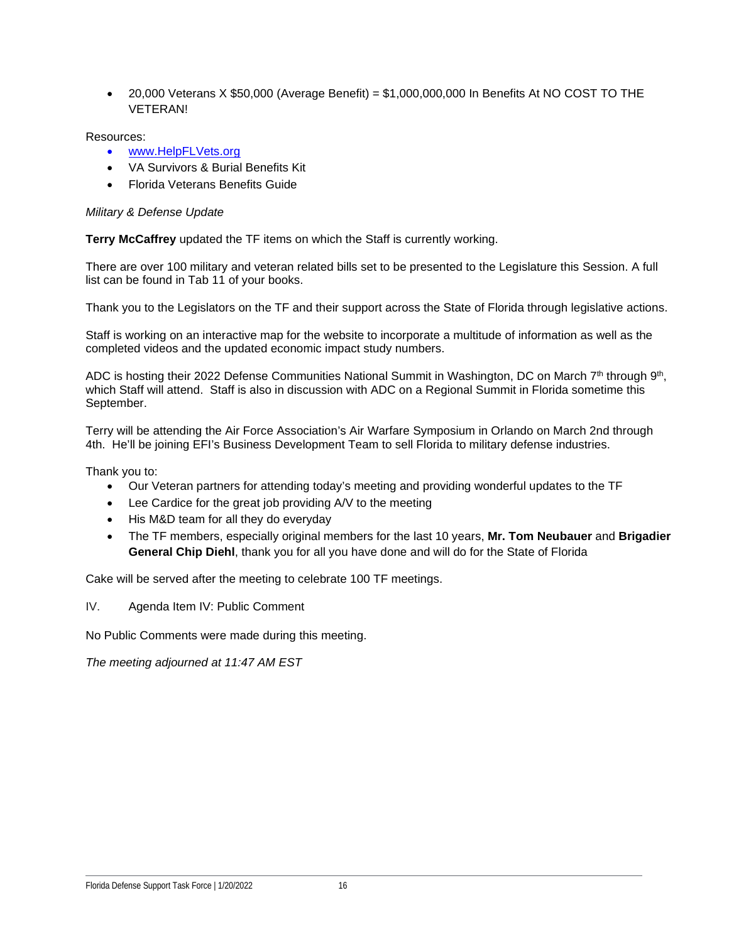• 20,000 Veterans X \$50,000 (Average Benefit) = \$1,000,000,000 In Benefits At NO COST TO THE VETERAN!

Resources:

- [www.HelpFLVets.org](http://www.helpflvets.org/)
- VA Survivors & Burial Benefits Kit
- Florida Veterans Benefits Guide

#### *Military & Defense Update*

**Terry McCaffrey** updated the TF items on which the Staff is currently working.

There are over 100 military and veteran related bills set to be presented to the Legislature this Session. A full list can be found in Tab 11 of your books.

Thank you to the Legislators on the TF and their support across the State of Florida through legislative actions.

Staff is working on an interactive map for the website to incorporate a multitude of information as well as the completed videos and the updated economic impact study numbers.

ADC is hosting their 2022 Defense Communities National Summit in Washington, DC on March 7th through 9th, which Staff will attend. Staff is also in discussion with ADC on a Regional Summit in Florida sometime this September.

Terry will be attending the Air Force Association's Air Warfare Symposium in Orlando on March 2nd through 4th. He'll be joining EFI's Business Development Team to sell Florida to military defense industries.

Thank you to:

- Our Veteran partners for attending today's meeting and providing wonderful updates to the TF
- Lee Cardice for the great job providing A/V to the meeting
- His M&D team for all they do everyday
- The TF members, especially original members for the last 10 years, **Mr. Tom Neubauer** and **Brigadier General Chip Diehl**, thank you for all you have done and will do for the State of Florida

Cake will be served after the meeting to celebrate 100 TF meetings.

IV. Agenda Item IV: Public Comment

No Public Comments were made during this meeting.

*The meeting adjourned at 11:47 AM EST*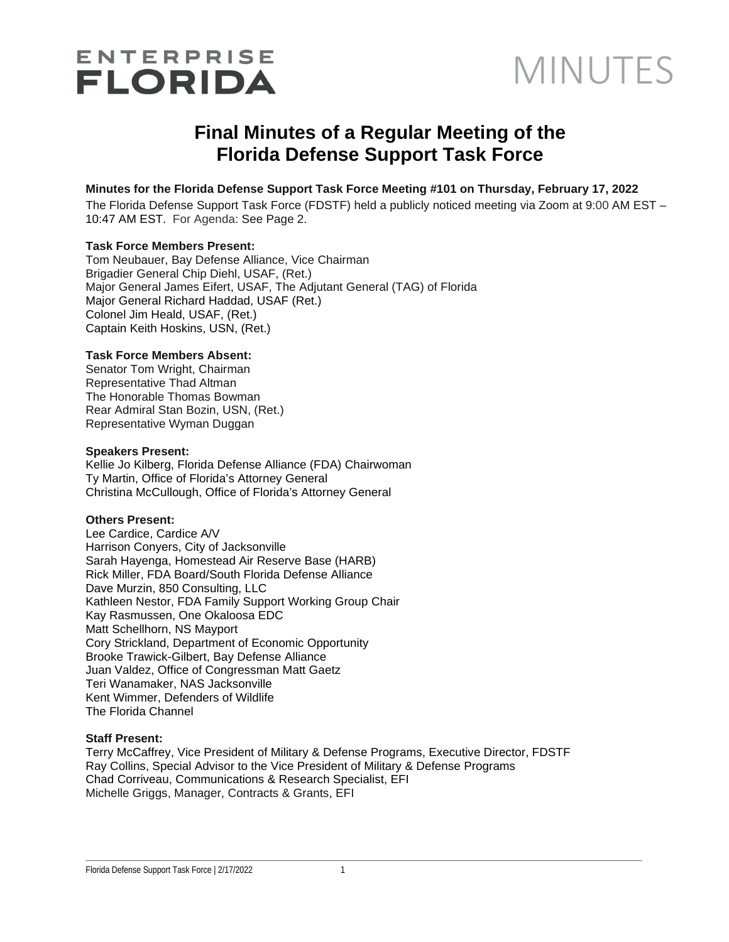## **ENTERPRISE FLORIDA**

## MINUTES

## **Final Minutes of a Regular Meeting of the Florida Defense Support Task Force**

#### **Minutes for the Florida Defense Support Task Force Meeting #101 on Thursday, February 17, 2022**

The Florida Defense Support Task Force (FDSTF) held a publicly noticed meeting via Zoom at 9:00 AM EST – 10:47 AM EST. For Agenda: See Page 2.

#### **Task Force Members Present:**

Tom Neubauer, Bay Defense Alliance, Vice Chairman Brigadier General Chip Diehl, USAF, (Ret.) Major General James Eifert, USAF, The Adjutant General (TAG) of Florida Major General Richard Haddad, USAF (Ret.) Colonel Jim Heald, USAF, (Ret.) Captain Keith Hoskins, USN, (Ret.)

#### **Task Force Members Absent:**

Senator Tom Wright, Chairman Representative Thad Altman The Honorable Thomas Bowman Rear Admiral Stan Bozin, USN, (Ret.) Representative Wyman Duggan

#### **Speakers Present:**

Kellie Jo Kilberg, Florida Defense Alliance (FDA) Chairwoman Ty Martin, Office of Florida's Attorney General Christina McCullough, Office of Florida's Attorney General

#### **Others Present:**

Lee Cardice, Cardice A/V Harrison Conyers, City of Jacksonville Sarah Hayenga, Homestead Air Reserve Base (HARB) Rick Miller, FDA Board/South Florida Defense Alliance Dave Murzin, 850 Consulting, LLC Kathleen Nestor, FDA Family Support Working Group Chair Kay Rasmussen, One Okaloosa EDC Matt Schellhorn, NS Mayport Cory Strickland, Department of Economic Opportunity Brooke Trawick-Gilbert, Bay Defense Alliance Juan Valdez, Office of Congressman Matt Gaetz Teri Wanamaker, NAS Jacksonville Kent Wimmer, Defenders of Wildlife The Florida Channel

#### **Staff Present:**

Terry McCaffrey, Vice President of Military & Defense Programs, Executive Director, FDSTF Ray Collins, Special Advisor to the Vice President of Military & Defense Programs Chad Corriveau, Communications & Research Specialist, EFI Michelle Griggs, Manager, Contracts & Grants, EFI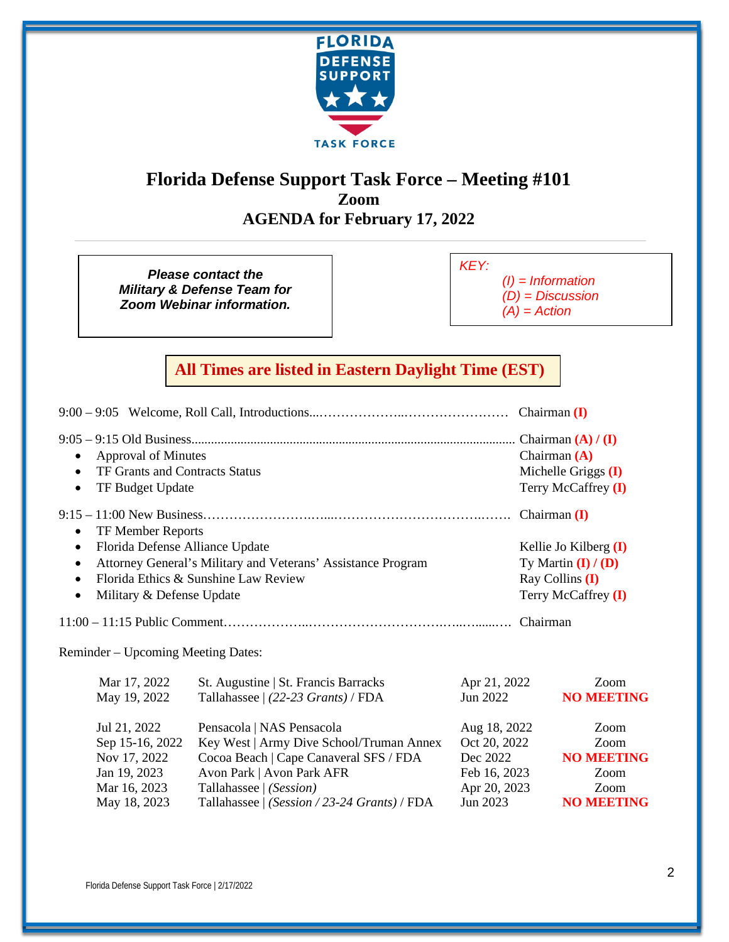

## **Florida Defense Support Task Force – Meeting #101 Zoom AGENDA for February 17, 2022**

*Please contact the Military & Defense Team for Zoom Webinar information.*

*KEY:* 

*(I) = Information (D) = Discussion* 

*(A) = Action* 

### **All Times are listed in Eastern Daylight Time (EST)**

| <b>Approval of Minutes</b><br>$\bullet$<br>TF Grants and Contracts Status<br>$\bullet$<br>TF Budget Update<br>$\bullet$ |                                                                                                                                              |                                                          | Chairman $(A)$<br>Michelle Griggs (I)<br>Terry McCaffrey (I)        |
|-------------------------------------------------------------------------------------------------------------------------|----------------------------------------------------------------------------------------------------------------------------------------------|----------------------------------------------------------|---------------------------------------------------------------------|
| TF Member Reports<br>$\bullet$<br>Florida Defense Alliance Update<br>$\bullet$<br>$\bullet$<br>$\bullet$                | Attorney General's Military and Veterans' Assistance Program<br>Florida Ethics & Sunshine Law Review                                         |                                                          | Kellie Jo Kilberg $(I)$<br>Ty Martin $(I) / (D)$<br>Ray Collins (I) |
| Military & Defense Update<br>$\bullet$                                                                                  |                                                                                                                                              |                                                          | Terry McCaffrey (I)                                                 |
|                                                                                                                         |                                                                                                                                              |                                                          |                                                                     |
| Reminder – Upcoming Meeting Dates:                                                                                      |                                                                                                                                              |                                                          |                                                                     |
| Mar 17, 2022<br>May 19, 2022                                                                                            | St. Augustine   St. Francis Barracks<br>Tallahassee   (22-23 Grants) / FDA                                                                   | Apr 21, 2022<br>Jun 2022                                 | Zoom<br><b>NO MEETING</b>                                           |
| Jul 21, 2022<br>Sep 15-16, 2022<br>Nov 17, 2022<br>Jan 19, 2023                                                         | Pensacola   NAS Pensacola<br>Key West   Army Dive School/Truman Annex<br>Cocoa Beach   Cape Canaveral SFS / FDA<br>Avon Park   Avon Park AFR | Aug 18, 2022<br>Oct 20, 2022<br>Dec 2022<br>Feb 16, 2023 | Zoom<br>Zoom<br><b>NO MEETING</b><br>Zoom                           |
| Mar 16, 2023                                                                                                            | Tallahassee   (Session)                                                                                                                      | Apr 20, 2023                                             | Zoom                                                                |

May 18, 2023 Tallahassee | *(Session / 23-24 Grants)* / FDA Jun 2023 **NO MEETING**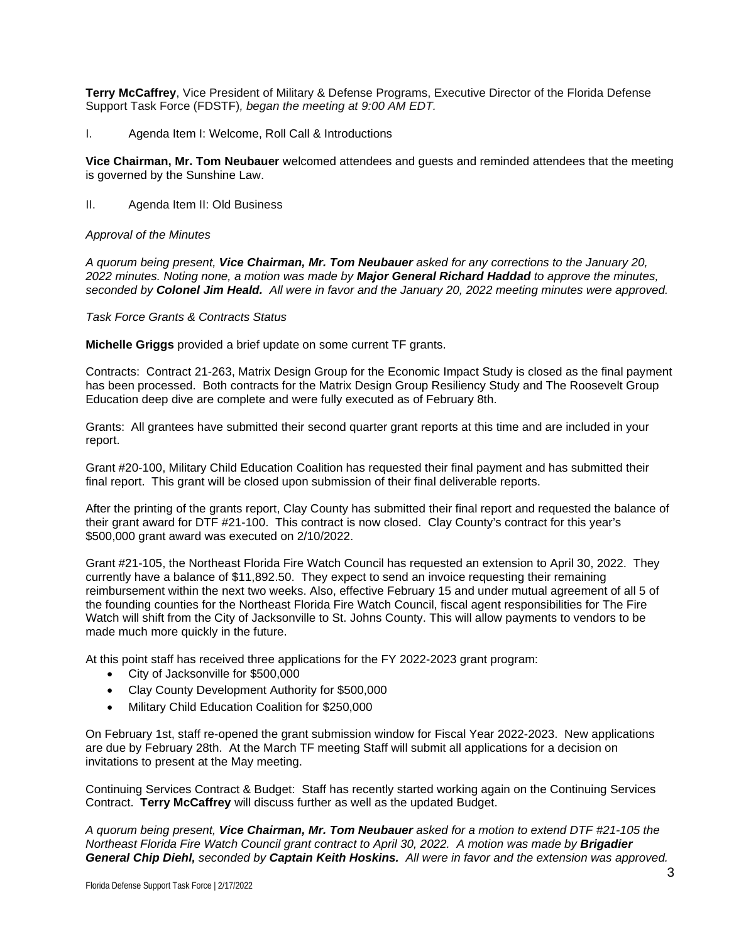**Terry McCaffrey**, Vice President of Military & Defense Programs, Executive Director of the Florida Defense Support Task Force (FDSTF)*, began the meeting at 9:00 AM EDT.* 

I. Agenda Item I: Welcome, Roll Call & Introductions

**Vice Chairman, Mr. Tom Neubauer** welcomed attendees and guests and reminded attendees that the meeting is governed by the Sunshine Law.

II. Agenda Item II: Old Business

#### *Approval of the Minutes*

*A quorum being present, Vice Chairman, Mr. Tom Neubauer asked for any corrections to the January 20, 2022 minutes. Noting none, a motion was made by Major General Richard Haddad to approve the minutes, seconded by Colonel Jim Heald. All were in favor and the January 20, 2022 meeting minutes were approved.* 

*Task Force Grants & Contracts Status*

**Michelle Griggs** provided a brief update on some current TF grants.

Contracts: Contract 21-263, Matrix Design Group for the Economic Impact Study is closed as the final payment has been processed. Both contracts for the Matrix Design Group Resiliency Study and The Roosevelt Group Education deep dive are complete and were fully executed as of February 8th.

Grants: All grantees have submitted their second quarter grant reports at this time and are included in your report.

Grant #20-100, Military Child Education Coalition has requested their final payment and has submitted their final report. This grant will be closed upon submission of their final deliverable reports.

After the printing of the grants report, Clay County has submitted their final report and requested the balance of their grant award for DTF #21-100. This contract is now closed. Clay County's contract for this year's \$500,000 grant award was executed on 2/10/2022.

Grant #21-105, the Northeast Florida Fire Watch Council has requested an extension to April 30, 2022. They currently have a balance of \$11,892.50. They expect to send an invoice requesting their remaining reimbursement within the next two weeks. Also, effective February 15 and under mutual agreement of all 5 of the founding counties for the Northeast Florida Fire Watch Council, fiscal agent responsibilities for The Fire Watch will shift from the City of Jacksonville to St. Johns County. This will allow payments to vendors to be made much more quickly in the future.

At this point staff has received three applications for the FY 2022-2023 grant program:

- City of Jacksonville for \$500,000
- Clay County Development Authority for \$500,000
- Military Child Education Coalition for \$250,000

On February 1st, staff re-opened the grant submission window for Fiscal Year 2022-2023. New applications are due by February 28th. At the March TF meeting Staff will submit all applications for a decision on invitations to present at the May meeting.

Continuing Services Contract & Budget: Staff has recently started working again on the Continuing Services Contract. **Terry McCaffrey** will discuss further as well as the updated Budget.

*A quorum being present, Vice Chairman, Mr. Tom Neubauer asked for a motion to extend DTF #21-105 the Northeast Florida Fire Watch Council grant contract to April 30, 2022. A motion was made by Brigadier General Chip Diehl, seconded by Captain Keith Hoskins. All were in favor and the extension was approved.*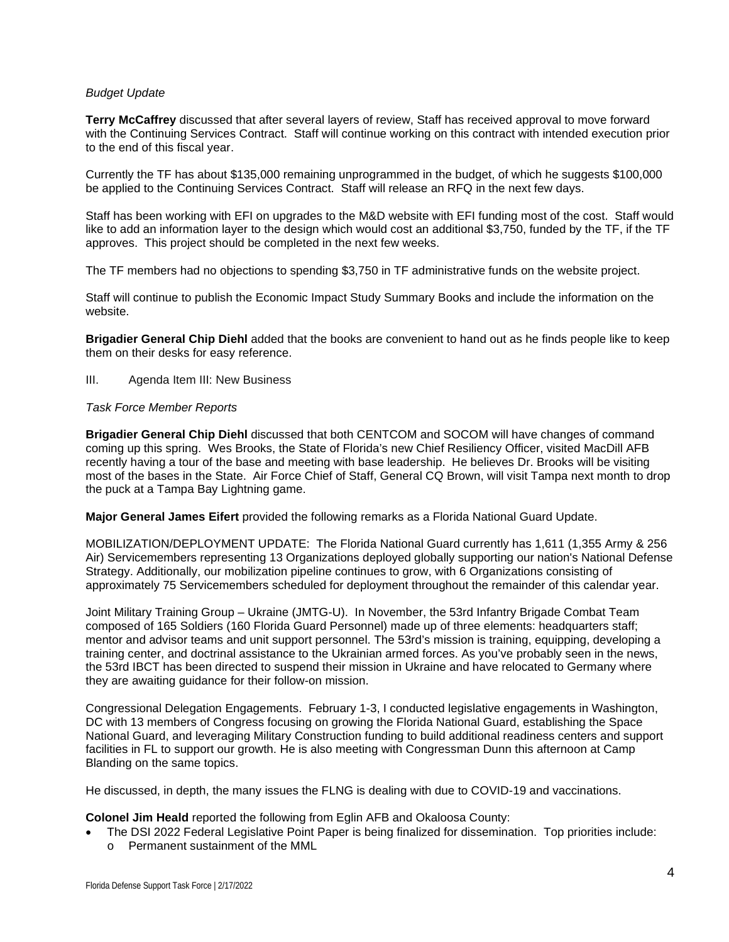#### *Budget Update*

**Terry McCaffrey** discussed that after several layers of review, Staff has received approval to move forward with the Continuing Services Contract. Staff will continue working on this contract with intended execution prior to the end of this fiscal year.

Currently the TF has about \$135,000 remaining unprogrammed in the budget, of which he suggests \$100,000 be applied to the Continuing Services Contract. Staff will release an RFQ in the next few days.

Staff has been working with EFI on upgrades to the M&D website with EFI funding most of the cost. Staff would like to add an information layer to the design which would cost an additional \$3,750, funded by the TF, if the TF approves. This project should be completed in the next few weeks.

The TF members had no objections to spending \$3,750 in TF administrative funds on the website project.

Staff will continue to publish the Economic Impact Study Summary Books and include the information on the website.

**Brigadier General Chip Diehl** added that the books are convenient to hand out as he finds people like to keep them on their desks for easy reference.

#### III. Agenda Item III: New Business

#### *Task Force Member Reports*

**Brigadier General Chip Diehl** discussed that both CENTCOM and SOCOM will have changes of command coming up this spring. Wes Brooks, the State of Florida's new Chief Resiliency Officer, visited MacDill AFB recently having a tour of the base and meeting with base leadership. He believes Dr. Brooks will be visiting most of the bases in the State. Air Force Chief of Staff, General CQ Brown, will visit Tampa next month to drop the puck at a Tampa Bay Lightning game.

**Major General James Eifert** provided the following remarks as a Florida National Guard Update.

MOBILIZATION/DEPLOYMENT UPDATE: The Florida National Guard currently has 1,611 (1,355 Army & 256 Air) Servicemembers representing 13 Organizations deployed globally supporting our nation's National Defense Strategy. Additionally, our mobilization pipeline continues to grow, with 6 Organizations consisting of approximately 75 Servicemembers scheduled for deployment throughout the remainder of this calendar year.

Joint Military Training Group – Ukraine (JMTG-U). In November, the 53rd Infantry Brigade Combat Team composed of 165 Soldiers (160 Florida Guard Personnel) made up of three elements: headquarters staff; mentor and advisor teams and unit support personnel. The 53rd's mission is training, equipping, developing a training center, and doctrinal assistance to the Ukrainian armed forces. As you've probably seen in the news, the 53rd IBCT has been directed to suspend their mission in Ukraine and have relocated to Germany where they are awaiting guidance for their follow-on mission.

Congressional Delegation Engagements. February 1-3, I conducted legislative engagements in Washington, DC with 13 members of Congress focusing on growing the Florida National Guard, establishing the Space National Guard, and leveraging Military Construction funding to build additional readiness centers and support facilities in FL to support our growth. He is also meeting with Congressman Dunn this afternoon at Camp Blanding on the same topics.

He discussed, in depth, the many issues the FLNG is dealing with due to COVID-19 and vaccinations.

**Colonel Jim Heald** reported the following from Eglin AFB and Okaloosa County:

• The DSI 2022 Federal Legislative Point Paper is being finalized for dissemination. Top priorities include: o Permanent sustainment of the MML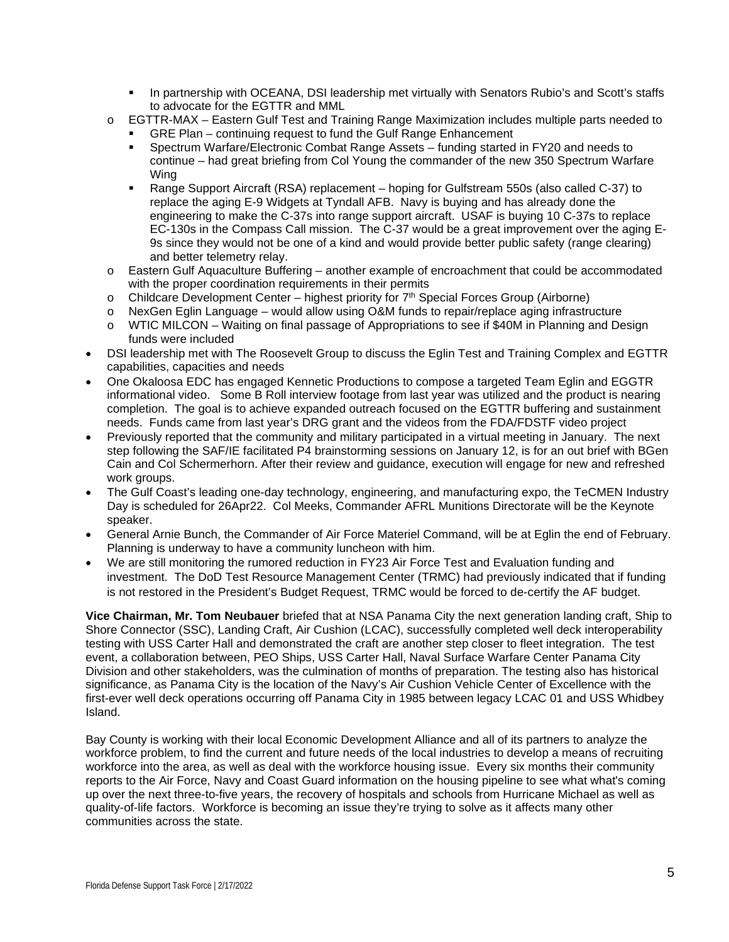- **In partnership with OCEANA, DSI leadership met virtually with Senators Rubio's and Scott's staffs** to advocate for the EGTTR and MML
- o EGTTR-MAX Eastern Gulf Test and Training Range Maximization includes multiple parts needed to
	- GRE Plan continuing request to fund the Gulf Range Enhancement
	- Spectrum Warfare/Electronic Combat Range Assets funding started in FY20 and needs to continue – had great briefing from Col Young the commander of the new 350 Spectrum Warfare Wing
	- Range Support Aircraft (RSA) replacement hoping for Gulfstream 550s (also called C-37) to replace the aging E-9 Widgets at Tyndall AFB. Navy is buying and has already done the engineering to make the C-37s into range support aircraft. USAF is buying 10 C-37s to replace EC-130s in the Compass Call mission. The C-37 would be a great improvement over the aging E-9s since they would not be one of a kind and would provide better public safety (range clearing) and better telemetry relay.
- $\circ$  Eastern Gulf Aquaculture Buffering another example of encroachment that could be accommodated with the proper coordination requirements in their permits
- $\circ$  Childcare Development Center highest priority for  $7<sup>th</sup>$  Special Forces Group (Airborne)
- o NexGen Eglin Language would allow using O&M funds to repair/replace aging infrastructure<br>○ WTIC MILCON Waiting on final passage of Appropriations to see if \$40M in Planning and De
- WTIC MILCON Waiting on final passage of Appropriations to see if \$40M in Planning and Design funds were included
- DSI leadership met with The Roosevelt Group to discuss the Eglin Test and Training Complex and EGTTR capabilities, capacities and needs
- One Okaloosa EDC has engaged Kennetic Productions to compose a targeted Team Eglin and EGGTR informational video. Some B Roll interview footage from last year was utilized and the product is nearing completion. The goal is to achieve expanded outreach focused on the EGTTR buffering and sustainment needs. Funds came from last year's DRG grant and the videos from the FDA/FDSTF video project
- Previously reported that the community and military participated in a virtual meeting in January. The next step following the SAF/IE facilitated P4 brainstorming sessions on January 12, is for an out brief with BGen Cain and Col Schermerhorn. After their review and guidance, execution will engage for new and refreshed work groups.
- The Gulf Coast's leading one-day technology, engineering, and manufacturing expo, the TeCMEN Industry Day is scheduled for 26Apr22. Col Meeks, Commander AFRL Munitions Directorate will be the Keynote speaker.
- General Arnie Bunch, the Commander of Air Force Materiel Command, will be at Eglin the end of February. Planning is underway to have a community luncheon with him.
- We are still monitoring the rumored reduction in FY23 Air Force Test and Evaluation funding and investment. The DoD Test Resource Management Center (TRMC) had previously indicated that if funding is not restored in the President's Budget Request, TRMC would be forced to de-certify the AF budget.

**Vice Chairman, Mr. Tom Neubauer** briefed that at NSA Panama City the next generation landing craft, Ship to Shore Connector (SSC), Landing Craft, Air Cushion (LCAC), successfully completed well deck interoperability testing with USS Carter Hall and demonstrated the craft are another step closer to fleet integration. The test event, a collaboration between, PEO Ships, USS Carter Hall, Naval Surface Warfare Center Panama City Division and other stakeholders, was the culmination of months of preparation. The testing also has historical significance, as Panama City is the location of the Navy's Air Cushion Vehicle Center of Excellence with the first-ever well deck operations occurring off Panama City in 1985 between legacy LCAC 01 and USS Whidbey Island.

Bay County is working with their local Economic Development Alliance and all of its partners to analyze the workforce problem, to find the current and future needs of the local industries to develop a means of recruiting workforce into the area, as well as deal with the workforce housing issue. Every six months their community reports to the Air Force, Navy and Coast Guard information on the housing pipeline to see what what's coming up over the next three-to-five years, the recovery of hospitals and schools from Hurricane Michael as well as quality-of-life factors. Workforce is becoming an issue they're trying to solve as it affects many other communities across the state.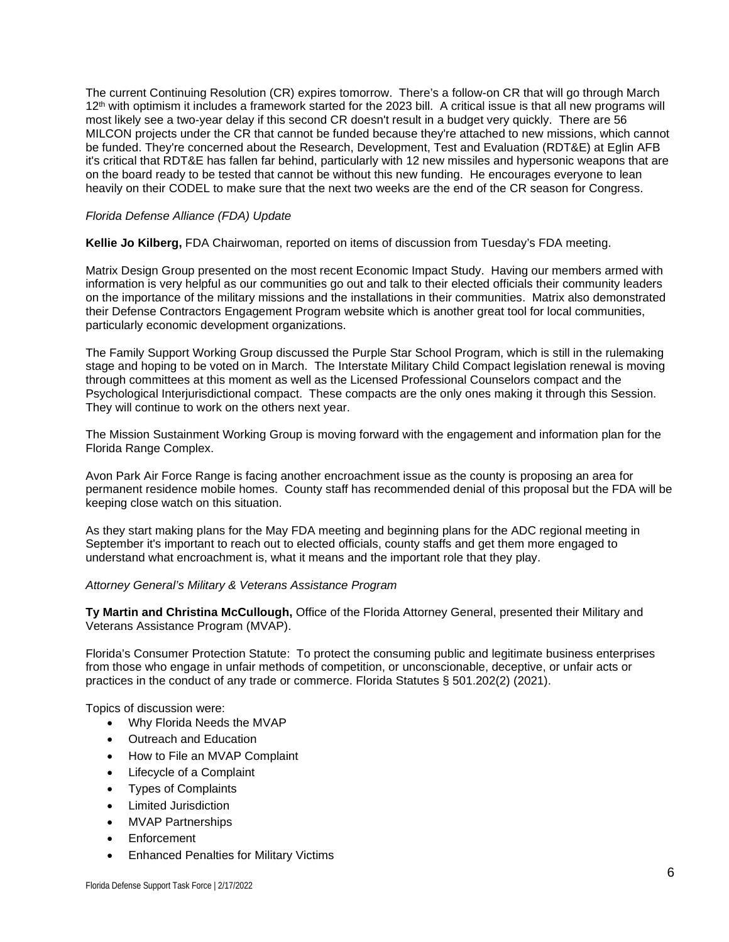The current Continuing Resolution (CR) expires tomorrow. There's a follow-on CR that will go through March 12<sup>th</sup> with optimism it includes a framework started for the 2023 bill. A critical issue is that all new programs will most likely see a two-year delay if this second CR doesn't result in a budget very quickly. There are 56 MILCON projects under the CR that cannot be funded because they're attached to new missions, which cannot be funded. They're concerned about the Research, Development, Test and Evaluation (RDT&E) at Eglin AFB it's critical that RDT&E has fallen far behind, particularly with 12 new missiles and hypersonic weapons that are on the board ready to be tested that cannot be without this new funding. He encourages everyone to lean heavily on their CODEL to make sure that the next two weeks are the end of the CR season for Congress.

#### *Florida Defense Alliance (FDA) Update*

**Kellie Jo Kilberg,** FDA Chairwoman, reported on items of discussion from Tuesday's FDA meeting.

Matrix Design Group presented on the most recent Economic Impact Study. Having our members armed with information is very helpful as our communities go out and talk to their elected officials their community leaders on the importance of the military missions and the installations in their communities. Matrix also demonstrated their Defense Contractors Engagement Program website which is another great tool for local communities, particularly economic development organizations.

The Family Support Working Group discussed the Purple Star School Program, which is still in the rulemaking stage and hoping to be voted on in March. The Interstate Military Child Compact legislation renewal is moving through committees at this moment as well as the Licensed Professional Counselors compact and the Psychological Interjurisdictional compact. These compacts are the only ones making it through this Session. They will continue to work on the others next year.

The Mission Sustainment Working Group is moving forward with the engagement and information plan for the Florida Range Complex.

Avon Park Air Force Range is facing another encroachment issue as the county is proposing an area for permanent residence mobile homes. County staff has recommended denial of this proposal but the FDA will be keeping close watch on this situation.

As they start making plans for the May FDA meeting and beginning plans for the ADC regional meeting in September it's important to reach out to elected officials, county staffs and get them more engaged to understand what encroachment is, what it means and the important role that they play.

#### *Attorney General's Military & Veterans Assistance Program*

**Ty Martin and Christina McCullough,** Office of the Florida Attorney General, presented their Military and Veterans Assistance Program (MVAP).

Florida's Consumer Protection Statute: To protect the consuming public and legitimate business enterprises from those who engage in unfair methods of competition, or unconscionable, deceptive, or unfair acts or practices in the conduct of any trade or commerce. Florida Statutes § 501.202(2) (2021).

Topics of discussion were:

- Why Florida Needs the MVAP
- Outreach and Education
- How to File an MVAP Complaint
- Lifecycle of a Complaint
- Types of Complaints
- Limited Jurisdiction
- MVAP Partnerships
- Enforcement
- Enhanced Penalties for Military Victims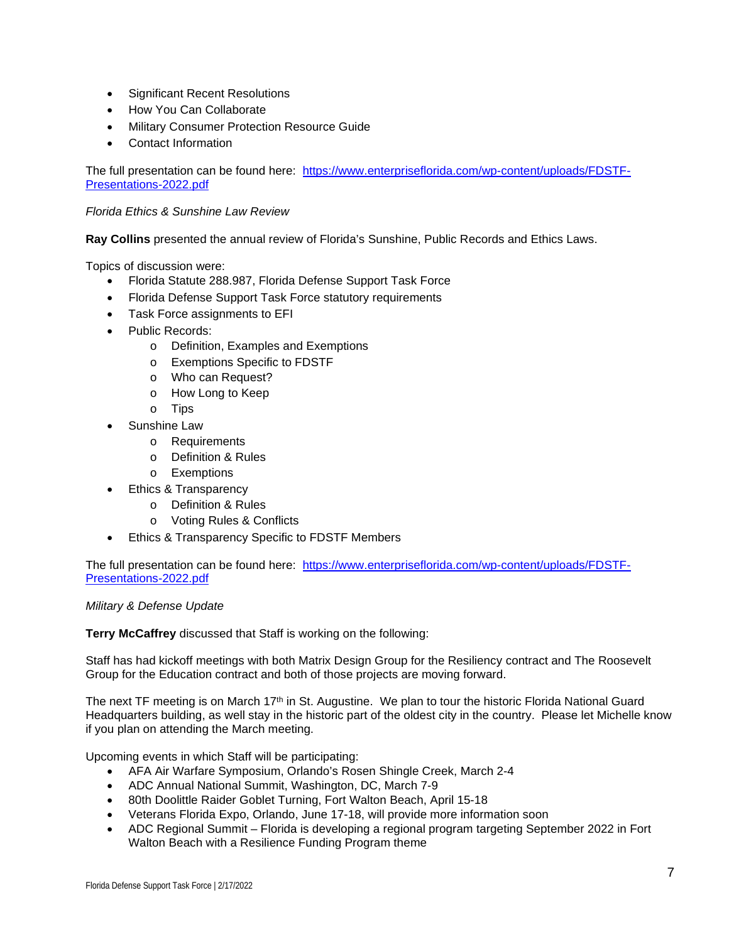- Significant Recent Resolutions
- How You Can Collaborate
- Military Consumer Protection Resource Guide
- Contact Information

The full presentation can be found here: [https://www.enterpriseflorida.com/wp-content/uploads/FDSTF-](https://www.enterpriseflorida.com/wp-content/uploads/FDSTF-Presentations-2022.pdf)[Presentations-2022.pdf](https://www.enterpriseflorida.com/wp-content/uploads/FDSTF-Presentations-2022.pdf) 

#### *Florida Ethics & Sunshine Law Review*

**Ray Collins** presented the annual review of Florida's Sunshine, Public Records and Ethics Laws.

Topics of discussion were:

- Florida Statute 288.987, Florida Defense Support Task Force
- Florida Defense Support Task Force statutory requirements
- Task Force assignments to EFI
- Public Records:
	- o Definition, Examples and Exemptions
	- o Exemptions Specific to FDSTF
	- o Who can Request?
	- o How Long to Keep
	- o Tips
	- Sunshine Law
		- o Requirements
		- o Definition & Rules
		- o Exemptions
- Ethics & Transparency
	- o Definition & Rules
	- o Voting Rules & Conflicts
- Ethics & Transparency Specific to FDSTF Members

The full presentation can be found here: [https://www.enterpriseflorida.com/wp-content/uploads/FDSTF-](https://www.enterpriseflorida.com/wp-content/uploads/FDSTF-Presentations-2022.pdf)[Presentations-2022.pdf](https://www.enterpriseflorida.com/wp-content/uploads/FDSTF-Presentations-2022.pdf) 

#### *Military & Defense Update*

**Terry McCaffrey** discussed that Staff is working on the following:

Staff has had kickoff meetings with both Matrix Design Group for the Resiliency contract and The Roosevelt Group for the Education contract and both of those projects are moving forward.

The next TF meeting is on March 17<sup>th</sup> in St. Augustine. We plan to tour the historic Florida National Guard Headquarters building, as well stay in the historic part of the oldest city in the country. Please let Michelle know if you plan on attending the March meeting.

Upcoming events in which Staff will be participating:

- AFA Air Warfare Symposium, Orlando's Rosen Shingle Creek, March 2-4
- ADC Annual National Summit, Washington, DC, March 7-9
- 80th Doolittle Raider Goblet Turning, Fort Walton Beach, April 15-18
- Veterans Florida Expo, Orlando, June 17-18, will provide more information soon
- ADC Regional Summit Florida is developing a regional program targeting September 2022 in Fort Walton Beach with a Resilience Funding Program theme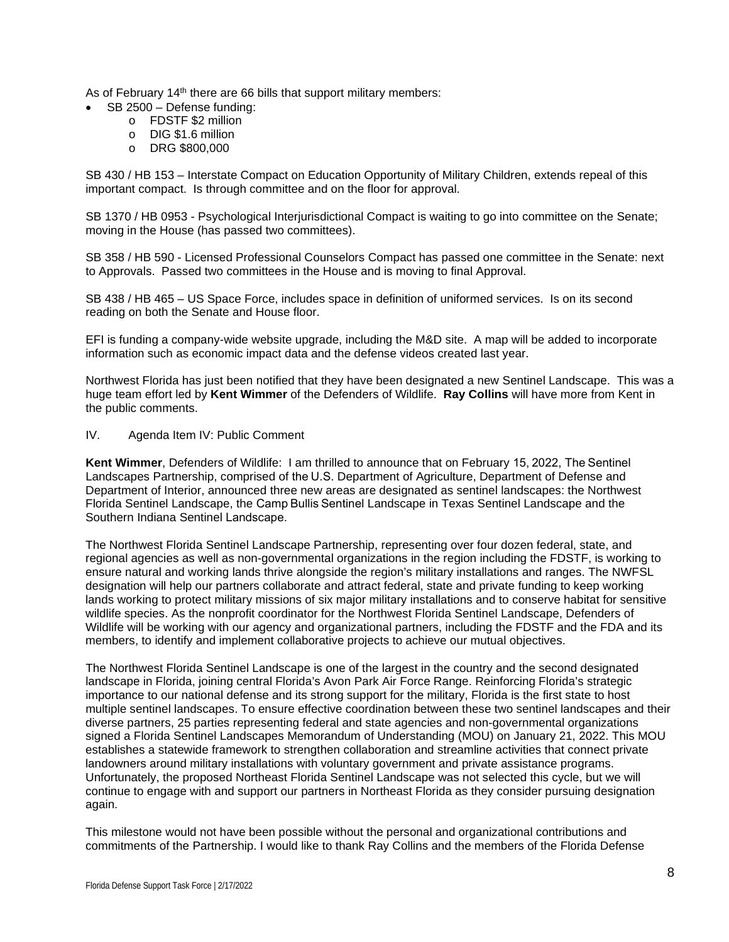As of February 14<sup>th</sup> there are 66 bills that support military members:

- SB 2500 Defense funding:
	- o FDSTF \$2 million
	- o DIG \$1.6 million
	- o DRG \$800,000

SB 430 / HB 153 – Interstate Compact on Education Opportunity of Military Children, extends repeal of this important compact. Is through committee and on the floor for approval.

SB 1370 / HB 0953 - Psychological Interjurisdictional Compact is waiting to go into committee on the Senate; moving in the House (has passed two committees).

SB 358 / HB 590 - Licensed Professional Counselors Compact has passed one committee in the Senate: next to Approvals. Passed two committees in the House and is moving to final Approval.

SB 438 / HB 465 – US Space Force, includes space in definition of uniformed services. Is on its second reading on both the Senate and House floor.

EFI is funding a company-wide website upgrade, including the M&D site. A map will be added to incorporate information such as economic impact data and the defense videos created last year.

Northwest Florida has just been notified that they have been designated a new Sentinel Landscape. This was a huge team effort led by **Kent Wimmer** of the Defenders of Wildlife. **Ray Collins** will have more from Kent in the public comments.

#### IV. Agenda Item IV: Public Comment

**Kent Wimmer**, Defenders of Wildlife: I am thrilled to announce that on February 15, 2022, The Sentinel Landscapes Partnership, comprised of the U.S. Department of Agriculture, Department of Defense and Department of Interior, announced three new areas are designated as sentinel landscapes: the Northwest Florida Sentinel Landscape, the Camp Bullis Sentinel Landscape in Texas Sentinel Landscape and the Southern Indiana Sentinel Landscape. 

The Northwest Florida Sentinel Landscape Partnership, representing over four dozen federal, state, and regional agencies as well as non-governmental organizations in the region including the FDSTF, is working to ensure natural and working lands thrive alongside the region's military installations and ranges. The NWFSL designation will help our partners collaborate and attract federal, state and private funding to keep working lands working to protect military missions of six major military installations and to conserve habitat for sensitive wildlife species. As the nonprofit coordinator for the Northwest Florida Sentinel Landscape, Defenders of Wildlife will be working with our agency and organizational partners, including the FDSTF and the FDA and its members, to identify and implement collaborative projects to achieve our mutual objectives.

The Northwest Florida Sentinel Landscape is one of the largest in the country and the second designated landscape in Florida, joining central Florida's Avon Park Air Force Range. Reinforcing Florida's strategic importance to our national defense and its strong support for the military, Florida is the first state to host multiple sentinel landscapes. To ensure effective coordination between these two sentinel landscapes and their diverse partners, 25 parties representing federal and state agencies and non-governmental organizations signed a Florida Sentinel Landscapes Memorandum of Understanding (MOU) on January 21, 2022. This MOU establishes a statewide framework to strengthen collaboration and streamline activities that connect private landowners around military installations with voluntary government and private assistance programs. Unfortunately, the proposed Northeast Florida Sentinel Landscape was not selected this cycle, but we will continue to engage with and support our partners in Northeast Florida as they consider pursuing designation again.

This milestone would not have been possible without the personal and organizational contributions and commitments of the Partnership. I would like to thank Ray Collins and the members of the Florida Defense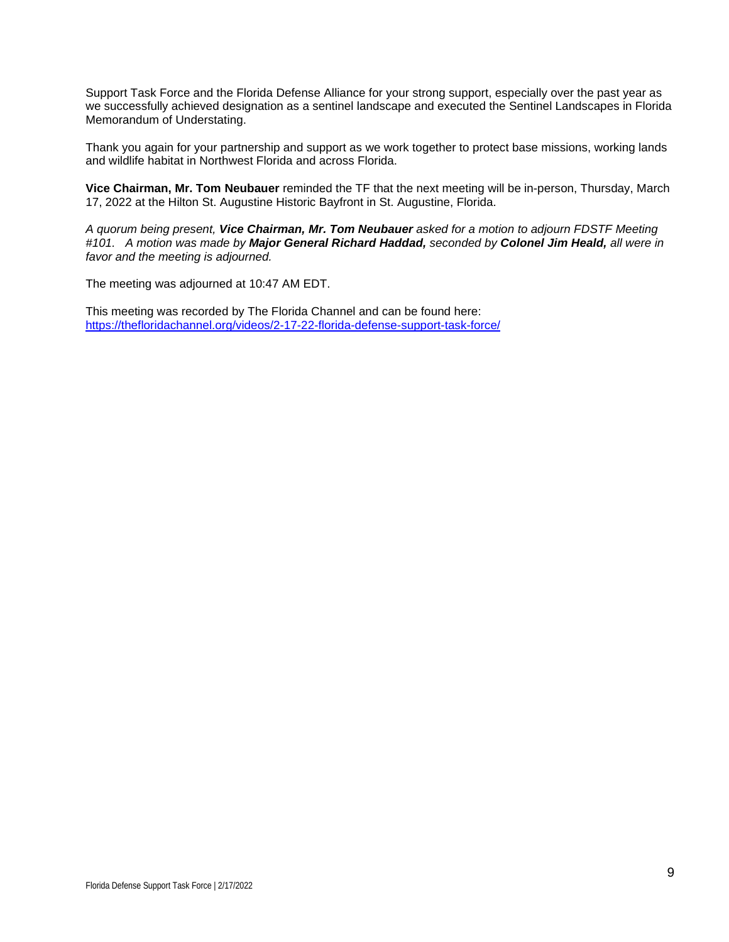Support Task Force and the Florida Defense Alliance for your strong support, especially over the past year as we successfully achieved designation as a sentinel landscape and executed the Sentinel Landscapes in Florida Memorandum of Understating.

Thank you again for your partnership and support as we work together to protect base missions, working lands and wildlife habitat in Northwest Florida and across Florida.

**Vice Chairman, Mr. Tom Neubauer** reminded the TF that the next meeting will be in-person, Thursday, March 17, 2022 at the Hilton St. Augustine Historic Bayfront in St. Augustine, Florida.

*A quorum being present, Vice Chairman, Mr. Tom Neubauer asked for a motion to adjourn FDSTF Meeting #101. A motion was made by Major General Richard Haddad, seconded by Colonel Jim Heald, all were in favor and the meeting is adjourned.*

The meeting was adjourned at 10:47 AM EDT.

This meeting was recorded by The Florida Channel and can be found here: <https://thefloridachannel.org/videos/2-17-22-florida-defense-support-task-force/>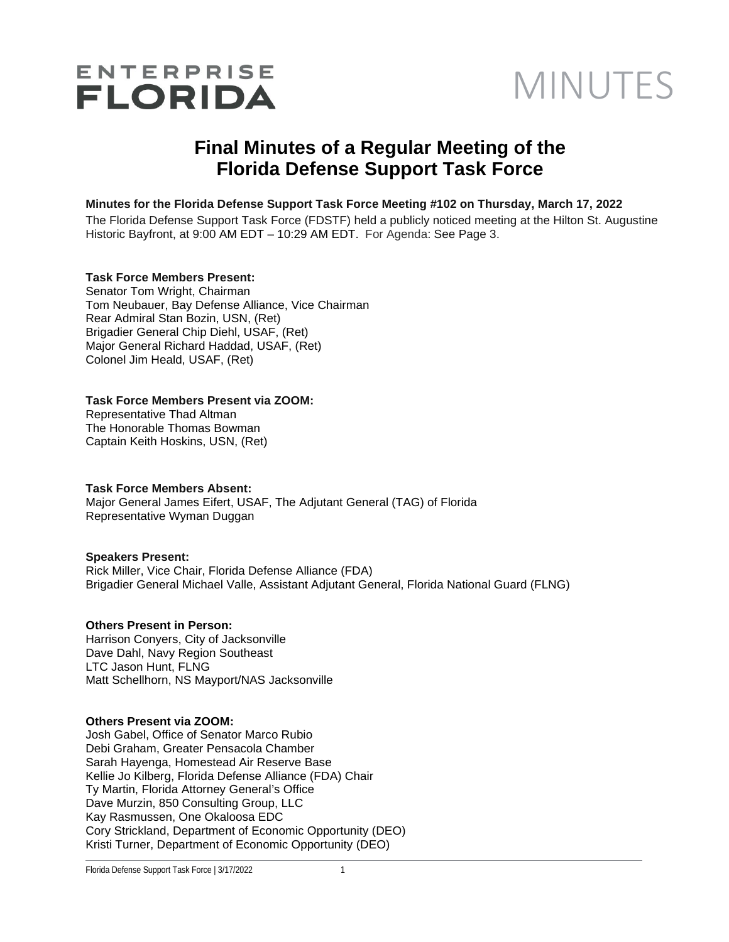# ENTERPRISE<br>FLORIDA MINUTES

## **Final Minutes of a Regular Meeting of the Florida Defense Support Task Force**

#### **Minutes for the Florida Defense Support Task Force Meeting #102 on Thursday, March 17, 2022**

The Florida Defense Support Task Force (FDSTF) held a publicly noticed meeting at the Hilton St. Augustine Historic Bayfront, at 9:00 AM EDT – 10:29 AM EDT. For Agenda: See Page 3.

#### **Task Force Members Present:**

Senator Tom Wright, Chairman Tom Neubauer, Bay Defense Alliance, Vice Chairman Rear Admiral Stan Bozin, USN, (Ret) Brigadier General Chip Diehl, USAF, (Ret) Major General Richard Haddad, USAF, (Ret) Colonel Jim Heald, USAF, (Ret)

#### **Task Force Members Present via ZOOM:**

Representative Thad Altman The Honorable Thomas Bowman Captain Keith Hoskins, USN, (Ret)

#### **Task Force Members Absent:**

Major General James Eifert, USAF, The Adjutant General (TAG) of Florida Representative Wyman Duggan

#### **Speakers Present:**

Rick Miller, Vice Chair, Florida Defense Alliance (FDA) Brigadier General Michael Valle, Assistant Adjutant General, Florida National Guard (FLNG)

#### **Others Present in Person:**

Harrison Conyers, City of Jacksonville Dave Dahl, Navy Region Southeast LTC Jason Hunt, FLNG Matt Schellhorn, NS Mayport/NAS Jacksonville

#### **Others Present via ZOOM:**

Josh Gabel, Office of Senator Marco Rubio Debi Graham, Greater Pensacola Chamber Sarah Hayenga, Homestead Air Reserve Base Kellie Jo Kilberg, Florida Defense Alliance (FDA) Chair Ty Martin, Florida Attorney General's Office Dave Murzin, 850 Consulting Group, LLC Kay Rasmussen, One Okaloosa EDC Cory Strickland, Department of Economic Opportunity (DEO) Kristi Turner, Department of Economic Opportunity (DEO)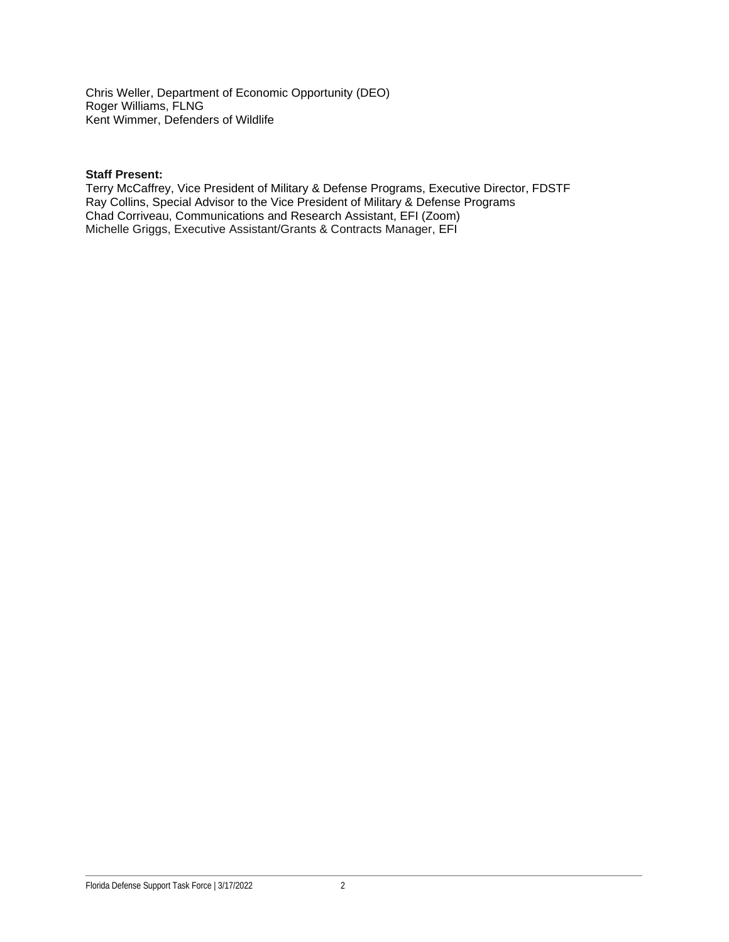Chris Weller, Department of Economic Opportunity (DEO) Roger Williams, FLNG Kent Wimmer, Defenders of Wildlife

#### **Staff Present:**

Terry McCaffrey, Vice President of Military & Defense Programs, Executive Director, FDSTF Ray Collins, Special Advisor to the Vice President of Military & Defense Programs Chad Corriveau, Communications and Research Assistant, EFI (Zoom) Michelle Griggs, Executive Assistant/Grants & Contracts Manager, EFI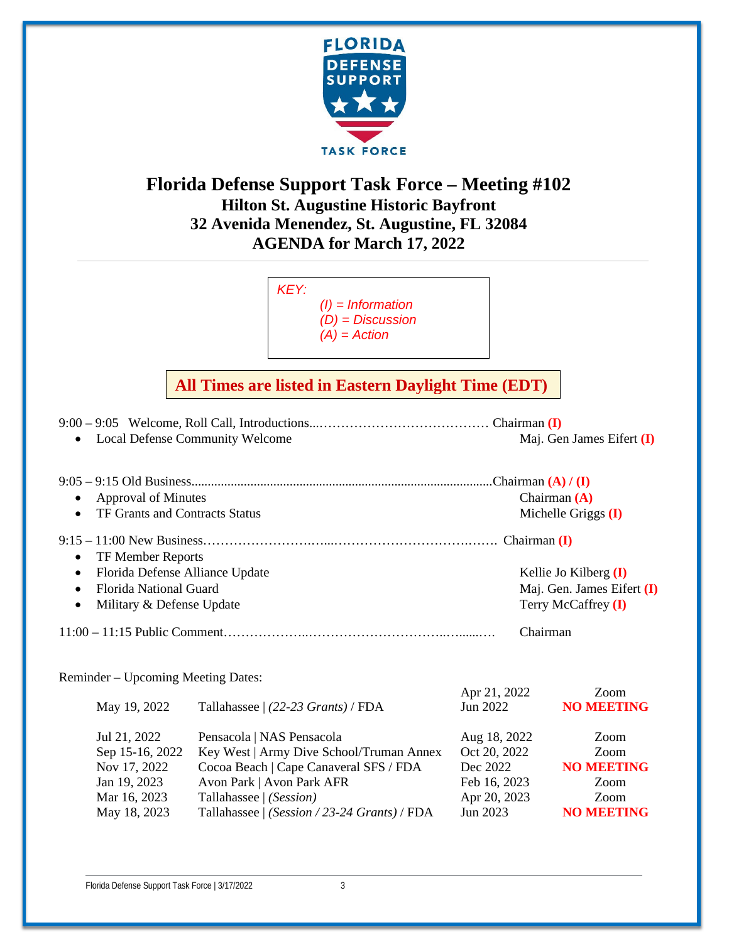

## **Florida Defense Support Task Force – Meeting #102 Hilton St. Augustine Historic Bayfront 32 Avenida Menendez, St. Augustine, FL 32084 AGENDA for March 17, 2022**



## **All Times are listed in Eastern Daylight Time (EDT)**

| Local Defense Community Welcome              |                                              |              | Maj. Gen James Eifert $(I)$ |  |
|----------------------------------------------|----------------------------------------------|--------------|-----------------------------|--|
|                                              |                                              |              |                             |  |
|                                              |                                              |              |                             |  |
| <b>Approval of Minutes</b>                   |                                              |              | Chairman $(A)$              |  |
| TF Grants and Contracts Status               |                                              |              | Michelle Griggs (I)         |  |
|                                              |                                              |              |                             |  |
| TF Member Reports<br>$\bullet$               |                                              |              |                             |  |
| Florida Defense Alliance Update<br>$\bullet$ |                                              |              | Kellie Jo Kilberg $(I)$     |  |
| <b>Florida National Guard</b><br>$\bullet$   |                                              |              | Maj. Gen. James Eifert (I)  |  |
| Military & Defense Update<br>$\bullet$       |                                              |              | Terry McCaffrey (I)         |  |
| Chairman                                     |                                              |              |                             |  |
| Reminder – Upcoming Meeting Dates:           |                                              |              |                             |  |
|                                              |                                              | Apr 21, 2022 | Zoom                        |  |
| May 19, 2022                                 | Tallahassee $(22-23 \text{ Grants})$ / FDA   | Jun 2022     | <b>NO MEETING</b>           |  |
| Jul 21, 2022                                 | Pensacola   NAS Pensacola                    | Aug 18, 2022 | Zoom                        |  |
| Sep 15-16, 2022                              | Key West   Army Dive School/Truman Annex     | Oct 20, 2022 | Zoom                        |  |
| Nov 17, 2022                                 | Cocoa Beach   Cape Canaveral SFS / FDA       | Dec 2022     | <b>NO MEETING</b>           |  |
| Jan 19, 2023                                 | Avon Park   Avon Park AFR                    | Feb 16, 2023 | Zoom                        |  |
| Mar 16, 2023                                 | Tallahassee   (Session)                      | Apr 20, 2023 | Zoom                        |  |
| May 18, 2023                                 | Tallahassee   (Session / 23-24 Grants) / FDA | Jun 2023     | <b>NO MEETING</b>           |  |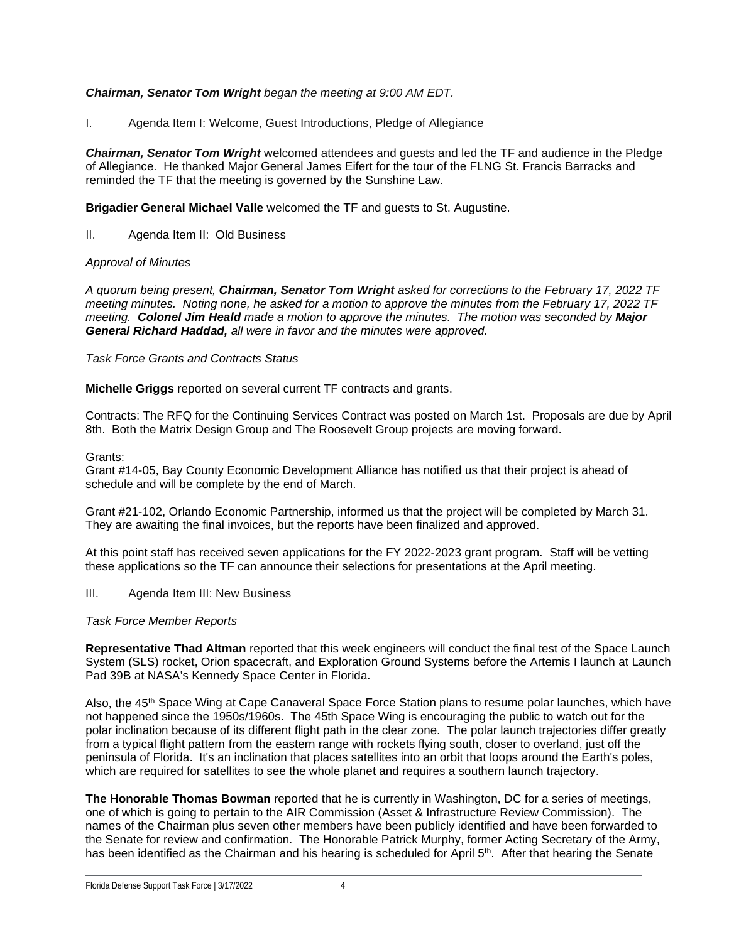#### *Chairman, Senator Tom Wright began the meeting at 9:00 AM EDT.*

I. Agenda Item I: Welcome, Guest Introductions, Pledge of Allegiance

*Chairman, Senator Tom Wright* welcomed attendees and guests and led the TF and audience in the Pledge of Allegiance. He thanked Major General James Eifert for the tour of the FLNG St. Francis Barracks and reminded the TF that the meeting is governed by the Sunshine Law.

**Brigadier General Michael Valle** welcomed the TF and guests to St. Augustine.

II. Agenda Item II: Old Business

#### *Approval of Minutes*

*A quorum being present, Chairman, Senator Tom Wright asked for corrections to the February 17, 2022 TF meeting minutes. Noting none, he asked for a motion to approve the minutes from the February 17, 2022 TF meeting. Colonel Jim Heald made a motion to approve the minutes. The motion was seconded by Major General Richard Haddad, all were in favor and the minutes were approved.*

#### *Task Force Grants and Contracts Status*

**Michelle Griggs** reported on several current TF contracts and grants.

Contracts: The RFQ for the Continuing Services Contract was posted on March 1st. Proposals are due by April 8th. Both the Matrix Design Group and The Roosevelt Group projects are moving forward.

#### Grants:

Grant #14-05, Bay County Economic Development Alliance has notified us that their project is ahead of schedule and will be complete by the end of March.

Grant #21-102, Orlando Economic Partnership, informed us that the project will be completed by March 31. They are awaiting the final invoices, but the reports have been finalized and approved.

At this point staff has received seven applications for the FY 2022-2023 grant program. Staff will be vetting these applications so the TF can announce their selections for presentations at the April meeting.

III. Agenda Item III: New Business

#### *Task Force Member Reports*

**Representative Thad Altman** reported that this week engineers will conduct the final test of the Space Launch System (SLS) rocket, Orion spacecraft, and Exploration Ground Systems before the Artemis I launch at Launch Pad 39B at NASA's Kennedy Space Center in Florida.

Also, the 45<sup>th</sup> Space Wing at Cape Canaveral Space Force Station plans to resume polar launches, which have not happened since the 1950s/1960s. The 45th Space Wing is encouraging the public to watch out for the polar inclination because of its different flight path in the clear zone. The polar launch trajectories differ greatly from a typical flight pattern from the eastern range with rockets flying south, closer to overland, just off the peninsula of Florida. It's an inclination that places satellites into an orbit that loops around the Earth's poles, which are required for satellites to see the whole planet and requires a southern launch trajectory.

**The Honorable Thomas Bowman** reported that he is currently in Washington, DC for a series of meetings, one of which is going to pertain to the AIR Commission (Asset & Infrastructure Review Commission). The names of the Chairman plus seven other members have been publicly identified and have been forwarded to the Senate for review and confirmation. The Honorable Patrick Murphy, former Acting Secretary of the Army, has been identified as the Chairman and his hearing is scheduled for April 5<sup>th</sup>. After that hearing the Senate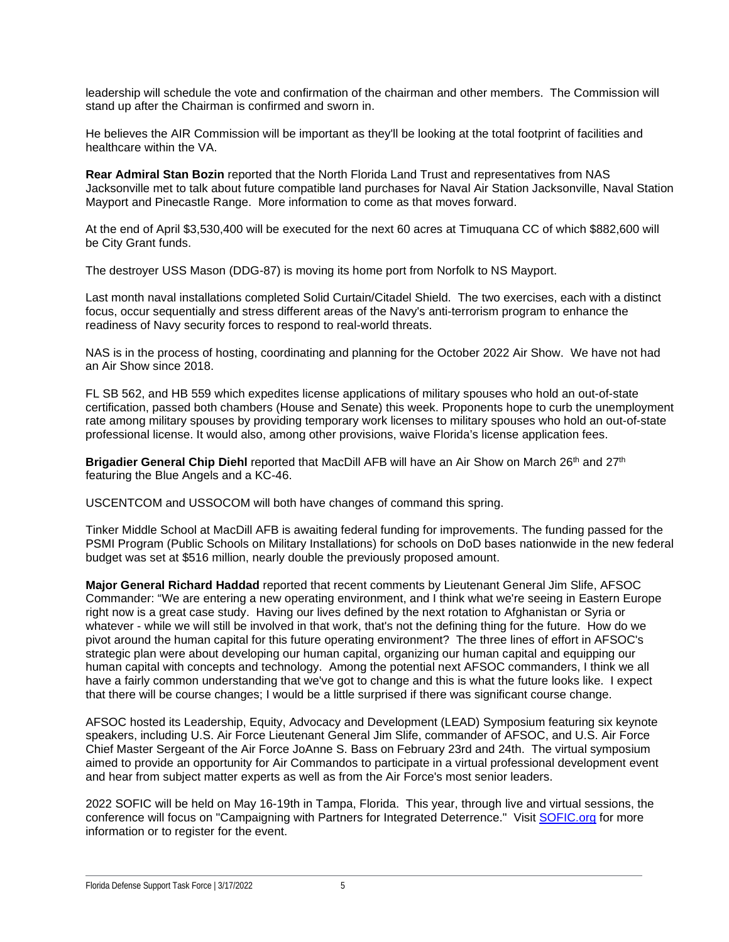leadership will schedule the vote and confirmation of the chairman and other members. The Commission will stand up after the Chairman is confirmed and sworn in.

He believes the AIR Commission will be important as they'll be looking at the total footprint of facilities and healthcare within the VA.

**Rear Admiral Stan Bozin** reported that the North Florida Land Trust and representatives from NAS Jacksonville met to talk about future compatible land purchases for Naval Air Station Jacksonville, Naval Station Mayport and Pinecastle Range. More information to come as that moves forward.

At the end of April \$3,530,400 will be executed for the next 60 acres at Timuquana CC of which \$882,600 will be City Grant funds.

The destroyer USS Mason (DDG-87) is moving its home port from Norfolk to NS Mayport.

Last month naval installations completed Solid Curtain/Citadel Shield. The two exercises, each with a distinct focus, occur sequentially and stress different areas of the Navy's anti-terrorism program to enhance the readiness of Navy security forces to respond to real-world threats.

NAS is in the process of hosting, coordinating and planning for the October 2022 Air Show. We have not had an Air Show since 2018.

FL SB 562, and HB 559 which expedites license applications of military spouses who hold an out-of-state certification, passed both chambers (House and Senate) this week. Proponents hope to curb the unemployment rate among military spouses by providing temporary work licenses to military spouses who hold an out-of-state professional license. It would also, among other provisions, waive Florida's license application fees.

**Brigadier General Chip Diehl** reported that MacDill AFB will have an Air Show on March 26<sup>th</sup> and 27<sup>th</sup> featuring the Blue Angels and a KC-46.

USCENTCOM and USSOCOM will both have changes of command this spring.

Tinker Middle School at MacDill AFB is awaiting federal funding for improvements. The funding passed for the PSMI Program (Public Schools on Military Installations) for schools on DoD bases nationwide in the new federal budget was set at \$516 million, nearly double the previously proposed amount.

**Major General Richard Haddad** reported that recent comments by Lieutenant General Jim Slife, AFSOC Commander: "We are entering a new operating environment, and I think what we're seeing in Eastern Europe right now is a great case study. Having our lives defined by the next rotation to Afghanistan or Syria or whatever - while we will still be involved in that work, that's not the defining thing for the future. How do we pivot around the human capital for this future operating environment? The three lines of effort in AFSOC's strategic plan were about developing our human capital, organizing our human capital and equipping our human capital with concepts and technology. Among the potential next AFSOC commanders, I think we all have a fairly common understanding that we've got to change and this is what the future looks like. I expect that there will be course changes; I would be a little surprised if there was significant course change.

AFSOC hosted its Leadership, Equity, Advocacy and Development (LEAD) Symposium featuring six keynote speakers, including U.S. Air Force Lieutenant General Jim Slife, commander of AFSOC, and U.S. Air Force Chief Master Sergeant of the Air Force JoAnne S. Bass on February 23rd and 24th. The virtual symposium aimed to provide an opportunity for Air Commandos to participate in a virtual professional development event and hear from subject matter experts as well as from the Air Force's most senior leaders.

2022 SOFIC will be held on May 16-19th in Tampa, Florida. This year, through live and virtual sessions, the conference will focus on "Campaigning with Partners for Integrated Deterrence." Visit SOFIC.org for more information or to register for the event.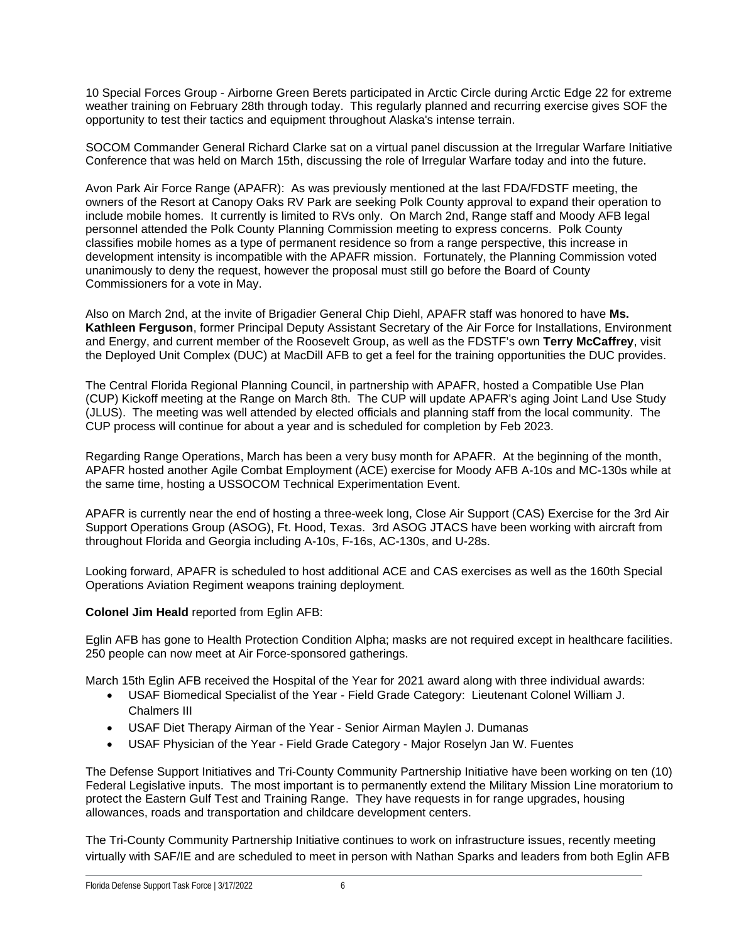10 Special Forces Group - Airborne Green Berets participated in Arctic Circle during Arctic Edge 22 for extreme weather training on February 28th through today. This regularly planned and recurring exercise gives SOF the opportunity to test their tactics and equipment throughout Alaska's intense terrain.

SOCOM Commander General Richard Clarke sat on a virtual panel discussion at the Irregular Warfare Initiative Conference that was held on March 15th, discussing the role of Irregular Warfare today and into the future.

Avon Park Air Force Range (APAFR): As was previously mentioned at the last FDA/FDSTF meeting, the owners of the Resort at Canopy Oaks RV Park are seeking Polk County approval to expand their operation to include mobile homes. It currently is limited to RVs only. On March 2nd, Range staff and Moody AFB legal personnel attended the Polk County Planning Commission meeting to express concerns. Polk County classifies mobile homes as a type of permanent residence so from a range perspective, this increase in development intensity is incompatible with the APAFR mission. Fortunately, the Planning Commission voted unanimously to deny the request, however the proposal must still go before the Board of County Commissioners for a vote in May.

Also on March 2nd, at the invite of Brigadier General Chip Diehl, APAFR staff was honored to have **Ms. Kathleen Ferguson**, former Principal Deputy Assistant Secretary of the Air Force for Installations, Environment and Energy, and current member of the Roosevelt Group, as well as the FDSTF's own **Terry McCaffrey**, visit the Deployed Unit Complex (DUC) at MacDill AFB to get a feel for the training opportunities the DUC provides.

The Central Florida Regional Planning Council, in partnership with APAFR, hosted a Compatible Use Plan (CUP) Kickoff meeting at the Range on March 8th. The CUP will update APAFR's aging Joint Land Use Study (JLUS). The meeting was well attended by elected officials and planning staff from the local community. The CUP process will continue for about a year and is scheduled for completion by Feb 2023.

Regarding Range Operations, March has been a very busy month for APAFR. At the beginning of the month, APAFR hosted another Agile Combat Employment (ACE) exercise for Moody AFB A-10s and MC-130s while at the same time, hosting a USSOCOM Technical Experimentation Event.

APAFR is currently near the end of hosting a three-week long, Close Air Support (CAS) Exercise for the 3rd Air Support Operations Group (ASOG), Ft. Hood, Texas. 3rd ASOG JTACS have been working with aircraft from throughout Florida and Georgia including A-10s, F-16s, AC-130s, and U-28s.

Looking forward, APAFR is scheduled to host additional ACE and CAS exercises as well as the 160th Special Operations Aviation Regiment weapons training deployment.

**Colonel Jim Heald** reported from Eglin AFB:

Eglin AFB has gone to Health Protection Condition Alpha; masks are not required except in healthcare facilities. 250 people can now meet at Air Force-sponsored gatherings.

March 15th Eglin AFB received the Hospital of the Year for 2021 award along with three individual awards:

- USAF Biomedical Specialist of the Year Field Grade Category: Lieutenant Colonel William J. Chalmers III
- USAF Diet Therapy Airman of the Year Senior Airman Maylen J. Dumanas
- USAF Physician of the Year Field Grade Category Major Roselyn Jan W. Fuentes

The Defense Support Initiatives and Tri-County Community Partnership Initiative have been working on ten (10) Federal Legislative inputs. The most important is to permanently extend the Military Mission Line moratorium to protect the Eastern Gulf Test and Training Range. They have requests in for range upgrades, housing allowances, roads and transportation and childcare development centers.

The Tri-County Community Partnership Initiative continues to work on infrastructure issues, recently meeting virtually with SAF/IE and are scheduled to meet in person with Nathan Sparks and leaders from both Eglin AFB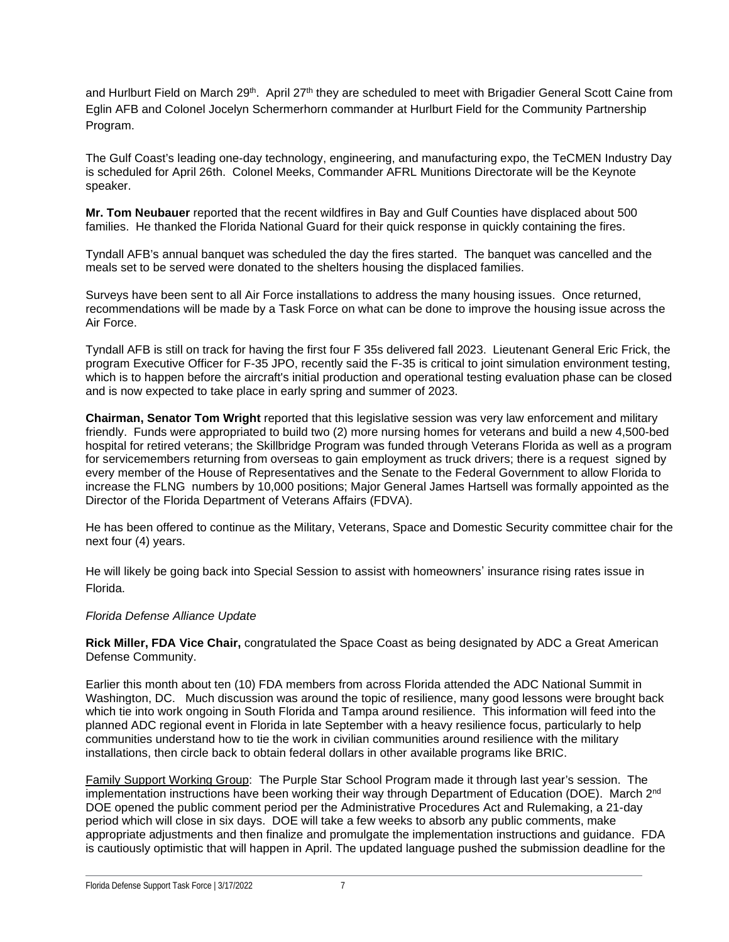and Hurlburt Field on March 29<sup>th</sup>. April 27<sup>th</sup> they are scheduled to meet with Brigadier General Scott Caine from Eglin AFB and Colonel Jocelyn Schermerhorn commander at Hurlburt Field for the Community Partnership Program.

The Gulf Coast's leading one-day technology, engineering, and manufacturing expo, the TeCMEN Industry Day is scheduled for April 26th. Colonel Meeks, Commander AFRL Munitions Directorate will be the Keynote speaker.

**Mr. Tom Neubauer** reported that the recent wildfires in Bay and Gulf Counties have displaced about 500 families. He thanked the Florida National Guard for their quick response in quickly containing the fires.

Tyndall AFB's annual banquet was scheduled the day the fires started. The banquet was cancelled and the meals set to be served were donated to the shelters housing the displaced families.

Surveys have been sent to all Air Force installations to address the many housing issues. Once returned, recommendations will be made by a Task Force on what can be done to improve the housing issue across the Air Force.

Tyndall AFB is still on track for having the first four F 35s delivered fall 2023. Lieutenant General Eric Frick, the program Executive Officer for F-35 JPO, recently said the F-35 is critical to joint simulation environment testing, which is to happen before the aircraft's initial production and operational testing evaluation phase can be closed and is now expected to take place in early spring and summer of 2023.

**Chairman, Senator Tom Wright** reported that this legislative session was very law enforcement and military friendly. Funds were appropriated to build two (2) more nursing homes for veterans and build a new 4,500-bed hospital for retired veterans; the Skillbridge Program was funded through Veterans Florida as well as a program for servicemembers returning from overseas to gain employment as truck drivers; there is a request signed by every member of the House of Representatives and the Senate to the Federal Government to allow Florida to increase the FLNG numbers by 10,000 positions; Major General James Hartsell was formally appointed as the Director of the Florida Department of Veterans Affairs (FDVA).

He has been offered to continue as the Military, Veterans, Space and Domestic Security committee chair for the next four (4) years.

He will likely be going back into Special Session to assist with homeowners' insurance rising rates issue in Florida.

#### *Florida Defense Alliance Update*

**Rick Miller, FDA Vice Chair,** congratulated the Space Coast as being designated by ADC a Great American Defense Community.

Earlier this month about ten (10) FDA members from across Florida attended the ADC National Summit in Washington, DC. Much discussion was around the topic of resilience, many good lessons were brought back which tie into work ongoing in South Florida and Tampa around resilience. This information will feed into the planned ADC regional event in Florida in late September with a heavy resilience focus, particularly to help communities understand how to tie the work in civilian communities around resilience with the military installations, then circle back to obtain federal dollars in other available programs like BRIC.

Family Support Working Group: The Purple Star School Program made it through last year's session. The implementation instructions have been working their way through Department of Education (DOE). March 2<sup>nd</sup> DOE opened the public comment period per the Administrative Procedures Act and Rulemaking, a 21-day period which will close in six days. DOE will take a few weeks to absorb any public comments, make appropriate adjustments and then finalize and promulgate the implementation instructions and guidance. FDA is cautiously optimistic that will happen in April. The updated language pushed the submission deadline for the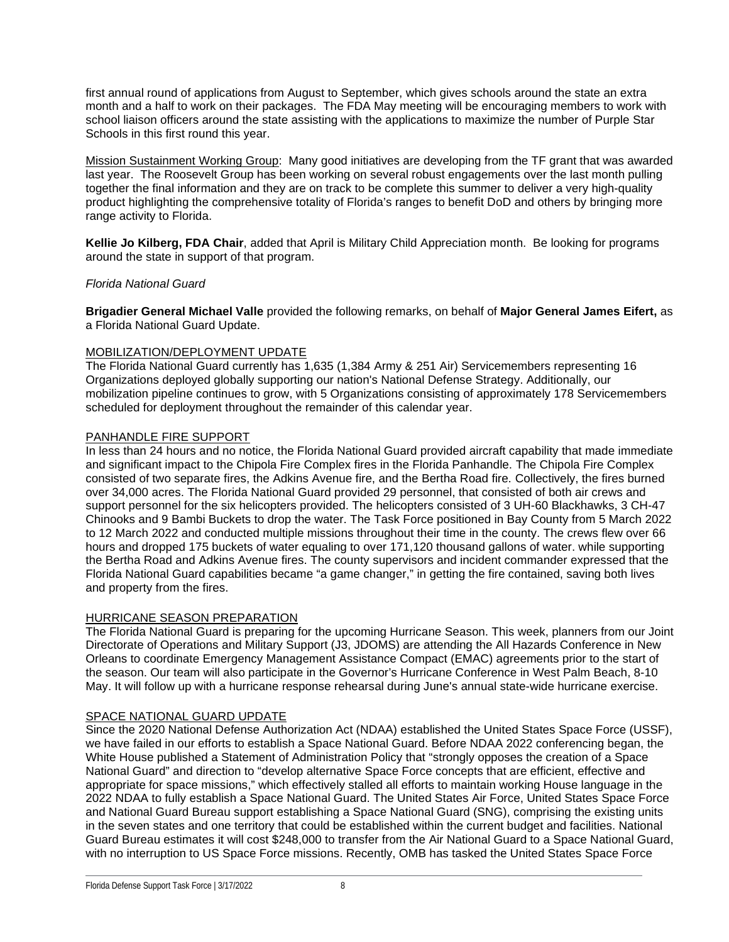first annual round of applications from August to September, which gives schools around the state an extra month and a half to work on their packages. The FDA May meeting will be encouraging members to work with school liaison officers around the state assisting with the applications to maximize the number of Purple Star Schools in this first round this year.

Mission Sustainment Working Group: Many good initiatives are developing from the TF grant that was awarded last year. The Roosevelt Group has been working on several robust engagements over the last month pulling together the final information and they are on track to be complete this summer to deliver a very high-quality product highlighting the comprehensive totality of Florida's ranges to benefit DoD and others by bringing more range activity to Florida.

**Kellie Jo Kilberg, FDA Chair**, added that April is Military Child Appreciation month. Be looking for programs around the state in support of that program.

#### *Florida National Guard*

**Brigadier General Michael Valle** provided the following remarks, on behalf of **Major General James Eifert,** as a Florida National Guard Update.

#### MOBILIZATION/DEPLOYMENT UPDATE

The Florida National Guard currently has 1,635 (1,384 Army & 251 Air) Servicemembers representing 16 Organizations deployed globally supporting our nation's National Defense Strategy. Additionally, our mobilization pipeline continues to grow, with 5 Organizations consisting of approximately 178 Servicemembers scheduled for deployment throughout the remainder of this calendar year.

#### PANHANDLE FIRE SUPPORT

In less than 24 hours and no notice, the Florida National Guard provided aircraft capability that made immediate and significant impact to the Chipola Fire Complex fires in the Florida Panhandle. The Chipola Fire Complex consisted of two separate fires, the Adkins Avenue fire, and the Bertha Road fire. Collectively, the fires burned over 34,000 acres. The Florida National Guard provided 29 personnel, that consisted of both air crews and support personnel for the six helicopters provided. The helicopters consisted of 3 UH-60 Blackhawks, 3 CH-47 Chinooks and 9 Bambi Buckets to drop the water. The Task Force positioned in Bay County from 5 March 2022 to 12 March 2022 and conducted multiple missions throughout their time in the county. The crews flew over 66 hours and dropped 175 buckets of water equaling to over 171,120 thousand gallons of water. while supporting the Bertha Road and Adkins Avenue fires. The county supervisors and incident commander expressed that the Florida National Guard capabilities became "a game changer," in getting the fire contained, saving both lives and property from the fires.

#### HURRICANE SEASON PREPARATION

The Florida National Guard is preparing for the upcoming Hurricane Season. This week, planners from our Joint Directorate of Operations and Military Support (J3, JDOMS) are attending the All Hazards Conference in New Orleans to coordinate Emergency Management Assistance Compact (EMAC) agreements prior to the start of the season. Our team will also participate in the Governor's Hurricane Conference in West Palm Beach, 8-10 May. It will follow up with a hurricane response rehearsal during June's annual state-wide hurricane exercise.

#### SPACE NATIONAL GUARD UPDATE

Since the 2020 National Defense Authorization Act (NDAA) established the United States Space Force (USSF), we have failed in our efforts to establish a Space National Guard. Before NDAA 2022 conferencing began, the White House published a Statement of Administration Policy that "strongly opposes the creation of a Space National Guard" and direction to "develop alternative Space Force concepts that are efficient, effective and appropriate for space missions," which effectively stalled all efforts to maintain working House language in the 2022 NDAA to fully establish a Space National Guard. The United States Air Force, United States Space Force and National Guard Bureau support establishing a Space National Guard (SNG), comprising the existing units in the seven states and one territory that could be established within the current budget and facilities. National Guard Bureau estimates it will cost \$248,000 to transfer from the Air National Guard to a Space National Guard, with no interruption to US Space Force missions. Recently, OMB has tasked the United States Space Force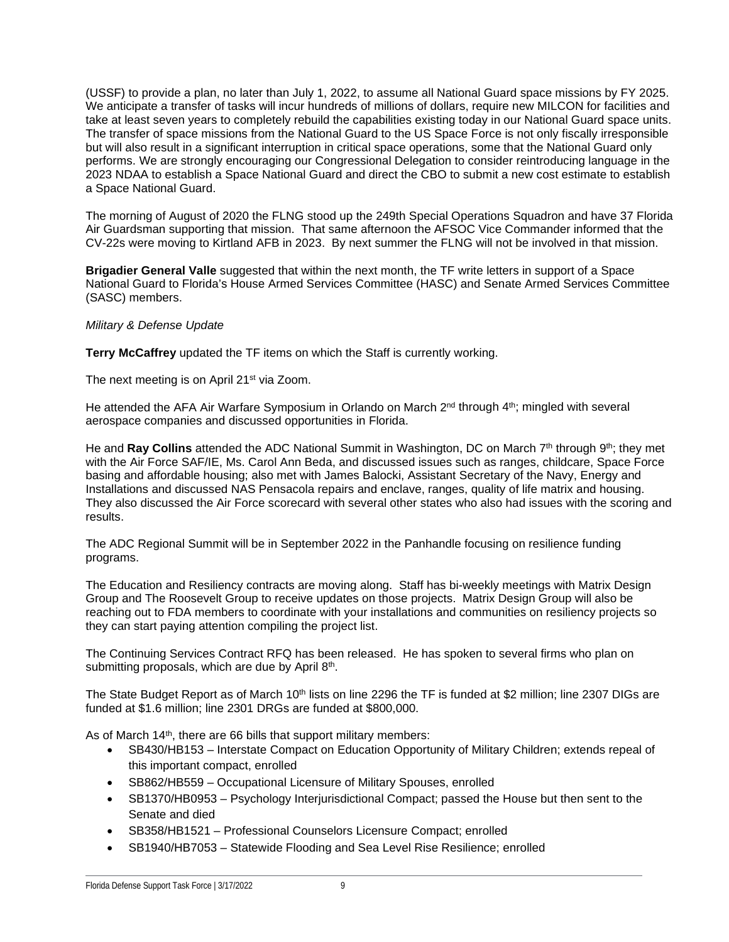(USSF) to provide a plan, no later than July 1, 2022, to assume all National Guard space missions by FY 2025. We anticipate a transfer of tasks will incur hundreds of millions of dollars, require new MILCON for facilities and take at least seven years to completely rebuild the capabilities existing today in our National Guard space units. The transfer of space missions from the National Guard to the US Space Force is not only fiscally irresponsible but will also result in a significant interruption in critical space operations, some that the National Guard only performs. We are strongly encouraging our Congressional Delegation to consider reintroducing language in the 2023 NDAA to establish a Space National Guard and direct the CBO to submit a new cost estimate to establish a Space National Guard.

The morning of August of 2020 the FLNG stood up the 249th Special Operations Squadron and have 37 Florida Air Guardsman supporting that mission. That same afternoon the AFSOC Vice Commander informed that the CV-22s were moving to Kirtland AFB in 2023. By next summer the FLNG will not be involved in that mission.

**Brigadier General Valle** suggested that within the next month, the TF write letters in support of a Space National Guard to Florida's House Armed Services Committee (HASC) and Senate Armed Services Committee (SASC) members.

*Military & Defense Update*

**Terry McCaffrey** updated the TF items on which the Staff is currently working.

The next meeting is on April 21<sup>st</sup> via Zoom.

He attended the AFA Air Warfare Symposium in Orlando on March 2<sup>nd</sup> through 4<sup>th</sup>; mingled with several aerospace companies and discussed opportunities in Florida.

He and **Ray Collins** attended the ADC National Summit in Washington, DC on March 7<sup>th</sup> through 9<sup>th</sup>; they met with the Air Force SAF/IE, Ms. Carol Ann Beda, and discussed issues such as ranges, childcare, Space Force basing and affordable housing; also met with James Balocki, Assistant Secretary of the Navy, Energy and Installations and discussed NAS Pensacola repairs and enclave, ranges, quality of life matrix and housing. They also discussed the Air Force scorecard with several other states who also had issues with the scoring and results.

The ADC Regional Summit will be in September 2022 in the Panhandle focusing on resilience funding programs.

The Education and Resiliency contracts are moving along. Staff has bi-weekly meetings with Matrix Design Group and The Roosevelt Group to receive updates on those projects. Matrix Design Group will also be reaching out to FDA members to coordinate with your installations and communities on resiliency projects so they can start paying attention compiling the project list.

The Continuing Services Contract RFQ has been released. He has spoken to several firms who plan on submitting proposals, which are due by April  $8<sup>th</sup>$ .

The State Budget Report as of March 10<sup>th</sup> lists on line 2296 the TF is funded at \$2 million; line 2307 DIGs are funded at \$1.6 million; line 2301 DRGs are funded at \$800,000.

As of March 14<sup>th</sup>, there are 66 bills that support military members:

- SB430/HB153 Interstate Compact on Education Opportunity of Military Children; extends repeal of this important compact, enrolled
- SB862/HB559 Occupational Licensure of Military Spouses, enrolled
- SB1370/HB0953 Psychology Interjurisdictional Compact; passed the House but then sent to the Senate and died
- SB358/HB1521 Professional Counselors Licensure Compact; enrolled
- SB1940/HB7053 Statewide Flooding and Sea Level Rise Resilience; enrolled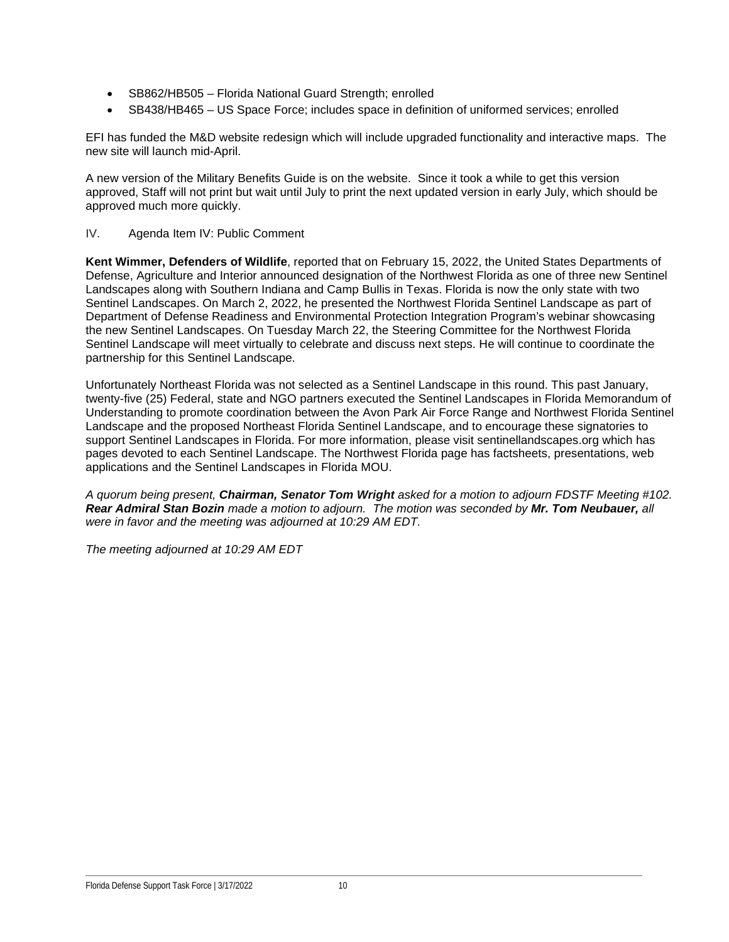- SB862/HB505 Florida National Guard Strength; enrolled
- SB438/HB465 US Space Force; includes space in definition of uniformed services; enrolled

EFI has funded the M&D website redesign which will include upgraded functionality and interactive maps. The new site will launch mid-April.

A new version of the Military Benefits Guide is on the website. Since it took a while to get this version approved, Staff will not print but wait until July to print the next updated version in early July, which should be approved much more quickly.

IV. Agenda Item IV: Public Comment

**Kent Wimmer, Defenders of Wildlife**, reported that on February 15, 2022, the United States Departments of Defense, Agriculture and Interior announced designation of the Northwest Florida as one of three new Sentinel Landscapes along with Southern Indiana and Camp Bullis in Texas. Florida is now the only state with two Sentinel Landscapes. On March 2, 2022, he presented the Northwest Florida Sentinel Landscape as part of Department of Defense Readiness and Environmental Protection Integration Program's webinar showcasing the new Sentinel Landscapes. On Tuesday March 22, the Steering Committee for the Northwest Florida Sentinel Landscape will meet virtually to celebrate and discuss next steps. He will continue to coordinate the partnership for this Sentinel Landscape.

Unfortunately Northeast Florida was not selected as a Sentinel Landscape in this round. This past January, twenty-five (25) Federal, state and NGO partners executed the Sentinel Landscapes in Florida Memorandum of Understanding to promote coordination between the Avon Park Air Force Range and Northwest Florida Sentinel Landscape and the proposed Northeast Florida Sentinel Landscape, and to encourage these signatories to support Sentinel Landscapes in Florida. For more information, please visit sentinellandscapes.org which has pages devoted to each Sentinel Landscape. The Northwest Florida page has factsheets, presentations, web applications and the Sentinel Landscapes in Florida MOU.

*A quorum being present, Chairman, Senator Tom Wright asked for a motion to adjourn FDSTF Meeting #102. Rear Admiral Stan Bozin made a motion to adjourn. The motion was seconded by Mr. Tom Neubauer, all were in favor and the meeting was adjourned at 10:29 AM EDT.*

*The meeting adjourned at 10:29 AM EDT*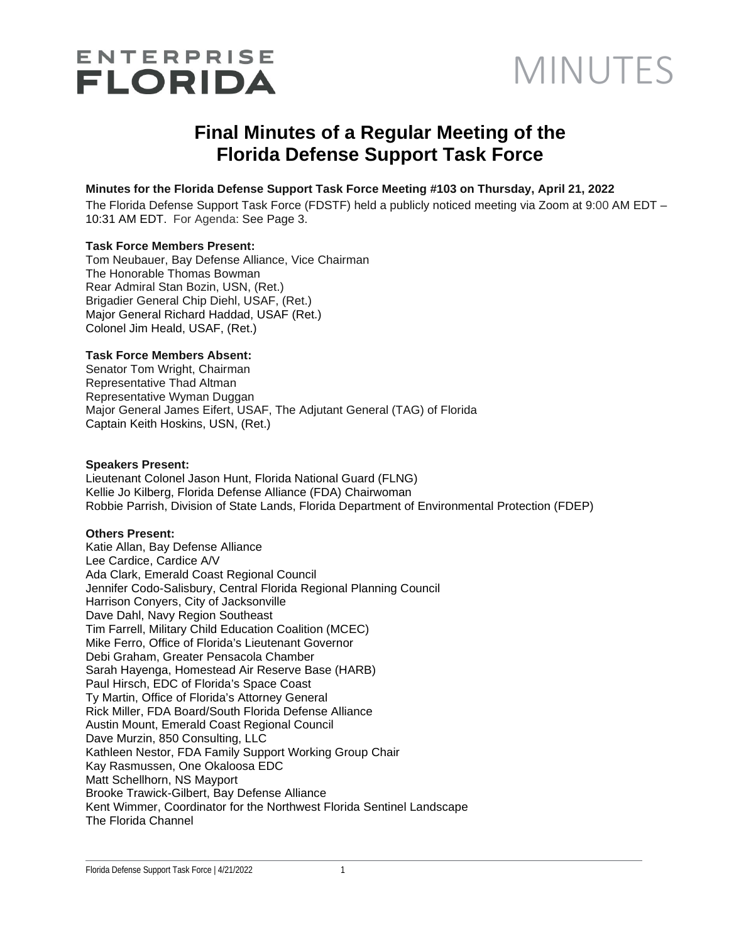## **ENTERPRISE FLORIDA**

## MINUTES

## **Final Minutes of a Regular Meeting of the Florida Defense Support Task Force**

#### **Minutes for the Florida Defense Support Task Force Meeting #103 on Thursday, April 21, 2022**

The Florida Defense Support Task Force (FDSTF) held a publicly noticed meeting via Zoom at 9:00 AM EDT – 10:31 AM EDT. For Agenda: See Page 3.

#### **Task Force Members Present:**

Tom Neubauer, Bay Defense Alliance, Vice Chairman The Honorable Thomas Bowman Rear Admiral Stan Bozin, USN, (Ret.) Brigadier General Chip Diehl, USAF, (Ret.) Major General Richard Haddad, USAF (Ret.) Colonel Jim Heald, USAF, (Ret.)

#### **Task Force Members Absent:**

Senator Tom Wright, Chairman Representative Thad Altman Representative Wyman Duggan Major General James Eifert, USAF, The Adjutant General (TAG) of Florida Captain Keith Hoskins, USN, (Ret.)

#### **Speakers Present:**

Lieutenant Colonel Jason Hunt, Florida National Guard (FLNG) Kellie Jo Kilberg, Florida Defense Alliance (FDA) Chairwoman Robbie Parrish, Division of State Lands, Florida Department of Environmental Protection (FDEP)

#### **Others Present:**

Katie Allan, Bay Defense Alliance Lee Cardice, Cardice A/V Ada Clark, Emerald Coast Regional Council Jennifer Codo-Salisbury, Central Florida Regional Planning Council Harrison Conyers, City of Jacksonville Dave Dahl, Navy Region Southeast Tim Farrell, Military Child Education Coalition (MCEC) Mike Ferro, Office of Florida's Lieutenant Governor Debi Graham, Greater Pensacola Chamber Sarah Hayenga, Homestead Air Reserve Base (HARB) Paul Hirsch, EDC of Florida's Space Coast Ty Martin, Office of Florida's Attorney General Rick Miller, FDA Board/South Florida Defense Alliance Austin Mount, Emerald Coast Regional Council Dave Murzin, 850 Consulting, LLC Kathleen Nestor, FDA Family Support Working Group Chair Kay Rasmussen, One Okaloosa EDC Matt Schellhorn, NS Mayport Brooke Trawick-Gilbert, Bay Defense Alliance Kent Wimmer, Coordinator for the Northwest Florida Sentinel Landscape The Florida Channel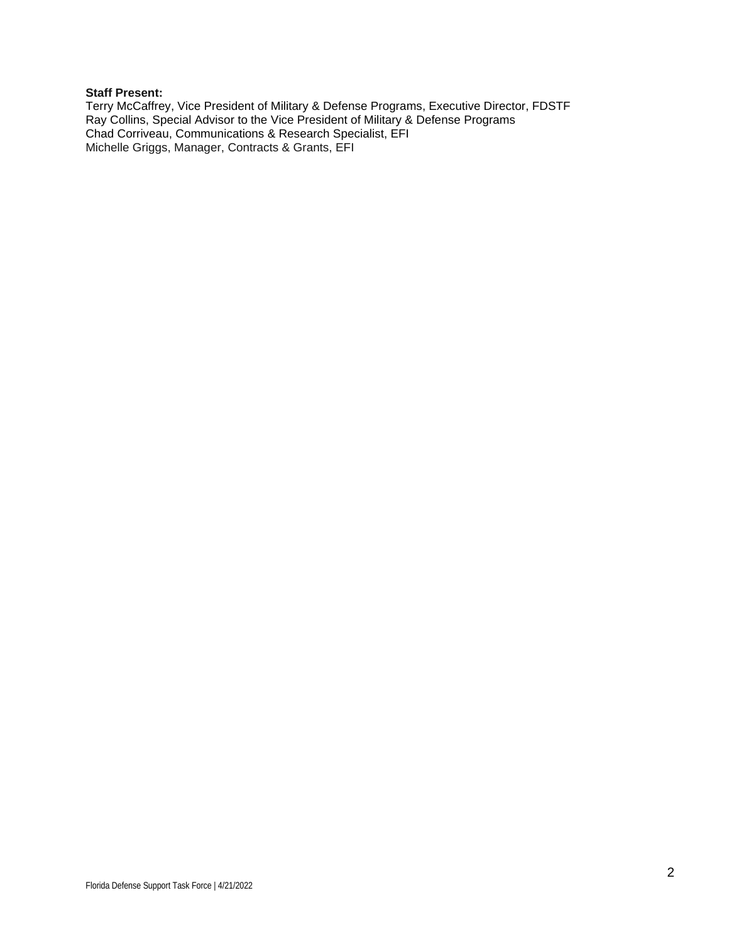#### **Staff Present:**

Terry McCaffrey, Vice President of Military & Defense Programs, Executive Director, FDSTF Ray Collins, Special Advisor to the Vice President of Military & Defense Programs Chad Corriveau, Communications & Research Specialist, EFI Michelle Griggs, Manager, Contracts & Grants, EFI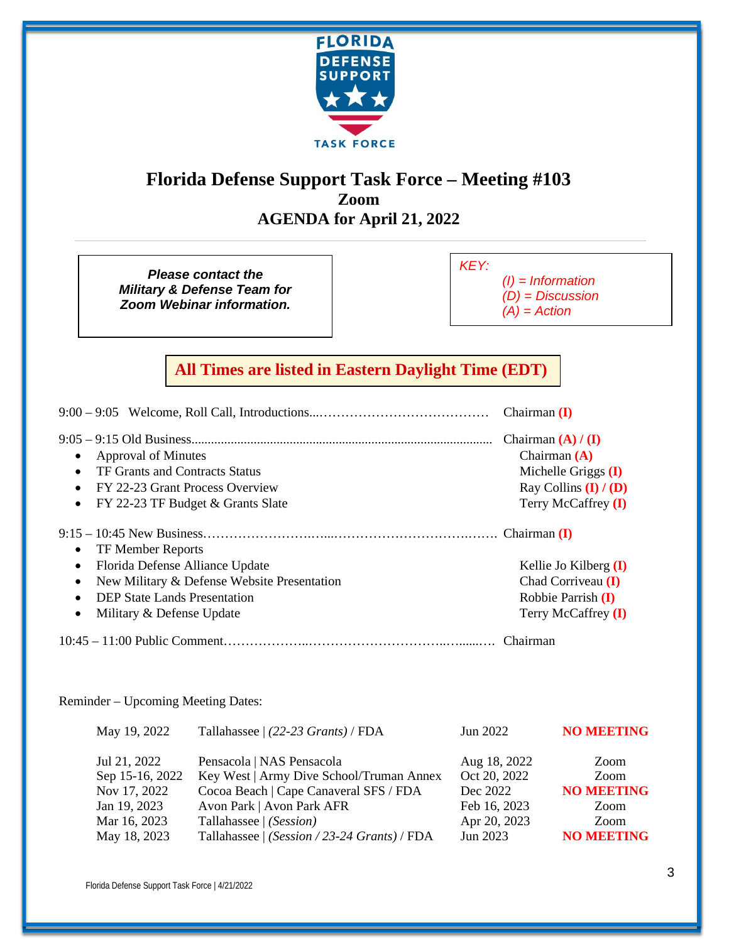

## **Florida Defense Support Task Force – Meeting #103 Zoom AGENDA for April 21, 2022**

*Please contact the Military & Defense Team for Zoom Webinar information.*

*KEY:* 

*(I) = Information (D) = Discussion* 

*(A) = Action* 

## **All Times are listed in Eastern Daylight Time (EDT)**

|                                                          | Chairman $(I)$          |
|----------------------------------------------------------|-------------------------|
|                                                          | Chairman $(A) / (I)$    |
| Approval of Minutes                                      | Chairman $(A)$          |
| TF Grants and Contracts Status                           | Michelle Griggs $(I)$   |
| FY 22-23 Grant Process Overview                          | Ray Collins $(I) / (D)$ |
| FY 22-23 TF Budget & Grants Slate<br>$\bullet$           | Terry McCaffrey (I)     |
|                                                          |                         |
| <b>TF Member Reports</b>                                 |                         |
| Florida Defense Alliance Update<br>$\bullet$             | Kellie Jo Kilberg $(I)$ |
| New Military & Defense Website Presentation<br>$\bullet$ | Chad Corriveau (I)      |
| <b>DEP State Lands Presentation</b>                      | Robbie Parrish (I)      |
|                                                          |                         |
| Military & Defense Update<br>$\bullet$                   | Terry McCaffrey (I)     |

#### Reminder – Upcoming Meeting Dates:

| May 19, 2022    | Tallahassee $(22-23 \text{ Grants})$ / FDA   | Jun 2022     | <b>NO MEETING</b> |
|-----------------|----------------------------------------------|--------------|-------------------|
| Jul 21, 2022    | Pensacola   NAS Pensacola                    | Aug 18, 2022 | Zoom              |
| Sep 15-16, 2022 | Key West   Army Dive School/Truman Annex     | Oct 20, 2022 | Zoom              |
| Nov 17, 2022    | Cocoa Beach   Cape Canaveral SFS / FDA       | Dec 2022     | <b>NO MEETING</b> |
| Jan 19, 2023    | Avon Park   Avon Park AFR                    | Feb 16, 2023 | Zoom              |
| Mar 16, 2023    | Tallahassee   (Session)                      | Apr 20, 2023 | Zoom              |
| May 18, 2023    | Tallahassee   (Session / 23-24 Grants) / FDA | Jun 2023     | <b>NO MEETING</b> |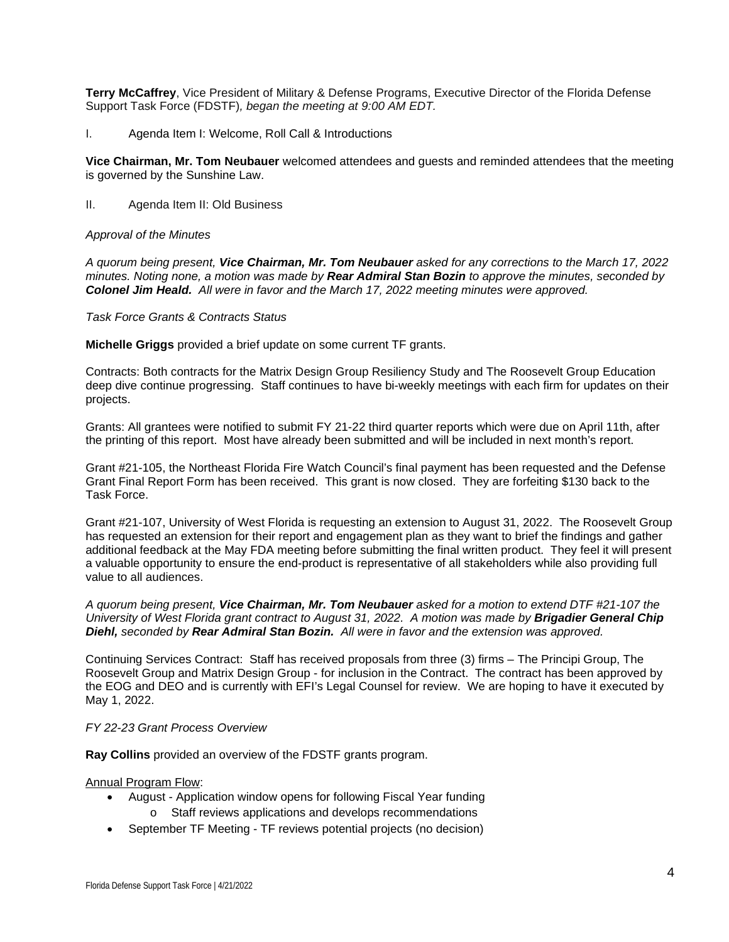**Terry McCaffrey**, Vice President of Military & Defense Programs, Executive Director of the Florida Defense Support Task Force (FDSTF)*, began the meeting at 9:00 AM EDT.* 

I. Agenda Item I: Welcome, Roll Call & Introductions

**Vice Chairman, Mr. Tom Neubauer** welcomed attendees and guests and reminded attendees that the meeting is governed by the Sunshine Law.

II. Agenda Item II: Old Business

#### *Approval of the Minutes*

*A quorum being present, Vice Chairman, Mr. Tom Neubauer asked for any corrections to the March 17, 2022 minutes. Noting none, a motion was made by Rear Admiral Stan Bozin to approve the minutes, seconded by Colonel Jim Heald. All were in favor and the March 17, 2022 meeting minutes were approved.* 

*Task Force Grants & Contracts Status*

**Michelle Griggs** provided a brief update on some current TF grants.

Contracts: Both contracts for the Matrix Design Group Resiliency Study and The Roosevelt Group Education deep dive continue progressing. Staff continues to have bi-weekly meetings with each firm for updates on their projects.

Grants: All grantees were notified to submit FY 21-22 third quarter reports which were due on April 11th, after the printing of this report. Most have already been submitted and will be included in next month's report.

Grant #21-105, the Northeast Florida Fire Watch Council's final payment has been requested and the Defense Grant Final Report Form has been received. This grant is now closed. They are forfeiting \$130 back to the Task Force.

Grant #21-107, University of West Florida is requesting an extension to August 31, 2022. The Roosevelt Group has requested an extension for their report and engagement plan as they want to brief the findings and gather additional feedback at the May FDA meeting before submitting the final written product. They feel it will present a valuable opportunity to ensure the end-product is representative of all stakeholders while also providing full value to all audiences.

*A quorum being present, Vice Chairman, Mr. Tom Neubauer asked for a motion to extend DTF #21-107 the University of West Florida grant contract to August 31, 2022. A motion was made by Brigadier General Chip Diehl, seconded by Rear Admiral Stan Bozin. All were in favor and the extension was approved.*

Continuing Services Contract: Staff has received proposals from three (3) firms – The Principi Group, The Roosevelt Group and Matrix Design Group - for inclusion in the Contract. The contract has been approved by the EOG and DEO and is currently with EFI's Legal Counsel for review. We are hoping to have it executed by May 1, 2022.

#### *FY 22-23 Grant Process Overview*

**Ray Collins** provided an overview of the FDSTF grants program.

Annual Program Flow:

- August Application window opens for following Fiscal Year funding
	- o Staff reviews applications and develops recommendations
- September TF Meeting TF reviews potential projects (no decision)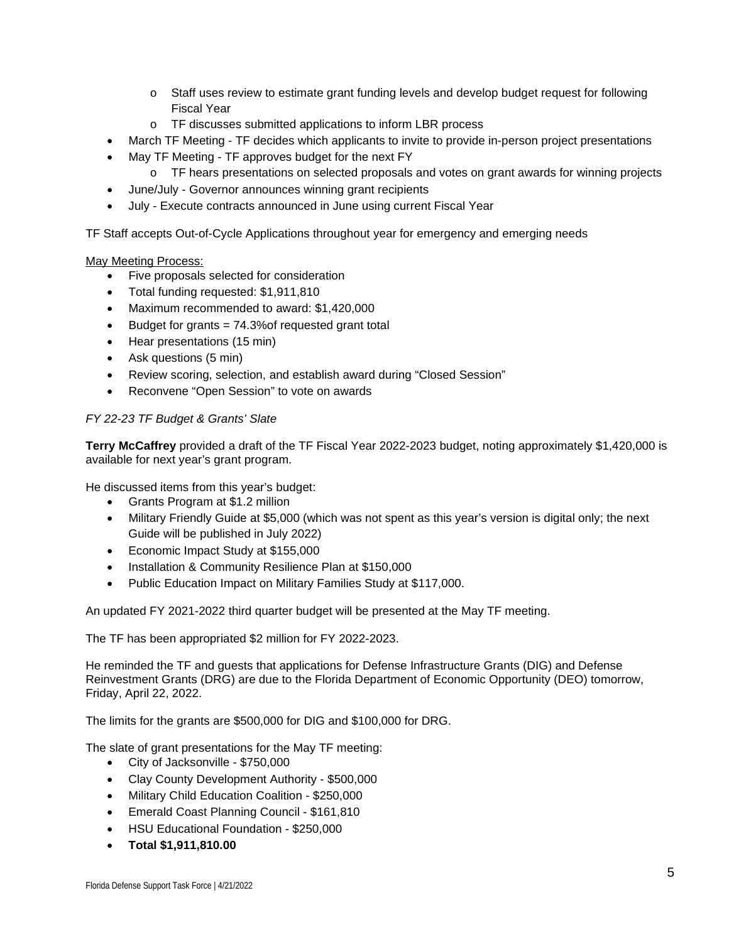- o Staff uses review to estimate grant funding levels and develop budget request for following Fiscal Year
- o TF discusses submitted applications to inform LBR process
- March TF Meeting TF decides which applicants to invite to provide in-person project presentations
- May TF Meeting TF approves budget for the next FY
	- o TF hears presentations on selected proposals and votes on grant awards for winning projects
- June/July Governor announces winning grant recipients
- July Execute contracts announced in June using current Fiscal Year

TF Staff accepts Out-of-Cycle Applications throughout year for emergency and emerging needs

#### May Meeting Process:

- Five proposals selected for consideration
- Total funding requested: \$1,911,810
- Maximum recommended to award: \$1,420,000
- Budget for grants = 74.3%of requested grant total
- Hear presentations (15 min)
- Ask questions (5 min)
- Review scoring, selection, and establish award during "Closed Session"
- Reconvene "Open Session" to vote on awards

#### *FY 22-23 TF Budget & Grants' Slate*

**Terry McCaffrey** provided a draft of the TF Fiscal Year 2022-2023 budget, noting approximately \$1,420,000 is available for next year's grant program.

He discussed items from this year's budget:

- Grants Program at \$1.2 million
- Military Friendly Guide at \$5,000 (which was not spent as this year's version is digital only; the next Guide will be published in July 2022)
- Economic Impact Study at \$155,000
- Installation & Community Resilience Plan at \$150,000
- Public Education Impact on Military Families Study at \$117,000.

An updated FY 2021-2022 third quarter budget will be presented at the May TF meeting.

The TF has been appropriated \$2 million for FY 2022-2023.

He reminded the TF and guests that applications for Defense Infrastructure Grants (DIG) and Defense Reinvestment Grants (DRG) are due to the Florida Department of Economic Opportunity (DEO) tomorrow, Friday, April 22, 2022.

The limits for the grants are \$500,000 for DIG and \$100,000 for DRG.

The slate of grant presentations for the May TF meeting:

- City of Jacksonville \$750,000
- Clay County Development Authority \$500,000
- Military Child Education Coalition \$250,000
- Emerald Coast Planning Council \$161,810
- HSU Educational Foundation \$250,000
- **Total \$1,911,810.00**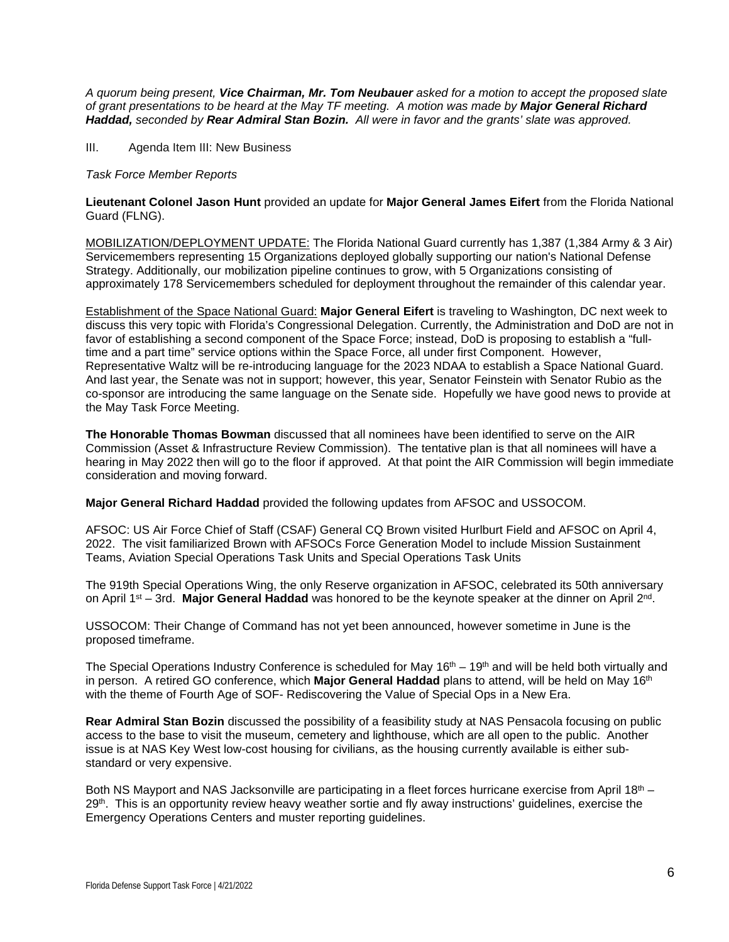*A quorum being present, Vice Chairman, Mr. Tom Neubauer asked for a motion to accept the proposed slate of grant presentations to be heard at the May TF meeting. A motion was made by Major General Richard Haddad, seconded by Rear Admiral Stan Bozin. All were in favor and the grants' slate was approved.*

III. Agenda Item III: New Business

#### *Task Force Member Reports*

**Lieutenant Colonel Jason Hunt** provided an update for **Major General James Eifert** from the Florida National Guard (FLNG).

MOBILIZATION/DEPLOYMENT UPDATE: The Florida National Guard currently has 1,387 (1,384 Army & 3 Air) Servicemembers representing 15 Organizations deployed globally supporting our nation's National Defense Strategy. Additionally, our mobilization pipeline continues to grow, with 5 Organizations consisting of approximately 178 Servicemembers scheduled for deployment throughout the remainder of this calendar year.

Establishment of the Space National Guard: **Major General Eifert** is traveling to Washington, DC next week to discuss this very topic with Florida's Congressional Delegation. Currently, the Administration and DoD are not in favor of establishing a second component of the Space Force; instead, DoD is proposing to establish a "fulltime and a part time" service options within the Space Force, all under first Component. However, Representative Waltz will be re-introducing language for the 2023 NDAA to establish a Space National Guard. And last year, the Senate was not in support; however, this year, Senator Feinstein with Senator Rubio as the co-sponsor are introducing the same language on the Senate side. Hopefully we have good news to provide at the May Task Force Meeting.

**The Honorable Thomas Bowman** discussed that all nominees have been identified to serve on the AIR Commission (Asset & Infrastructure Review Commission). The tentative plan is that all nominees will have a hearing in May 2022 then will go to the floor if approved. At that point the AIR Commission will begin immediate consideration and moving forward.

**Major General Richard Haddad** provided the following updates from AFSOC and USSOCOM.

AFSOC: US Air Force Chief of Staff (CSAF) General CQ Brown visited Hurlburt Field and AFSOC on April 4, 2022. The visit familiarized Brown with AFSOCs Force Generation Model to include Mission Sustainment Teams, Aviation Special Operations Task Units and Special Operations Task Units

The 919th Special Operations Wing, the only Reserve organization in AFSOC, celebrated its 50th anniversary on April 1<sup>st</sup> – 3rd. Major General Haddad was honored to be the keynote speaker at the dinner on April 2<sup>nd</sup>.

USSOCOM: Their Change of Command has not yet been announced, however sometime in June is the proposed timeframe.

The Special Operations Industry Conference is scheduled for May 16<sup>th</sup> – 19<sup>th</sup> and will be held both virtually and in person. A retired GO conference, which **Major General Haddad** plans to attend, will be held on May 16<sup>th</sup> with the theme of Fourth Age of SOF- Rediscovering the Value of Special Ops in a New Era.

**Rear Admiral Stan Bozin** discussed the possibility of a feasibility study at NAS Pensacola focusing on public access to the base to visit the museum, cemetery and lighthouse, which are all open to the public. Another issue is at NAS Key West low-cost housing for civilians, as the housing currently available is either substandard or very expensive.

Both NS Mayport and NAS Jacksonville are participating in a fleet forces hurricane exercise from April 18<sup>th</sup> – 29<sup>th</sup>. This is an opportunity review heavy weather sortie and fly away instructions' guidelines, exercise the Emergency Operations Centers and muster reporting guidelines.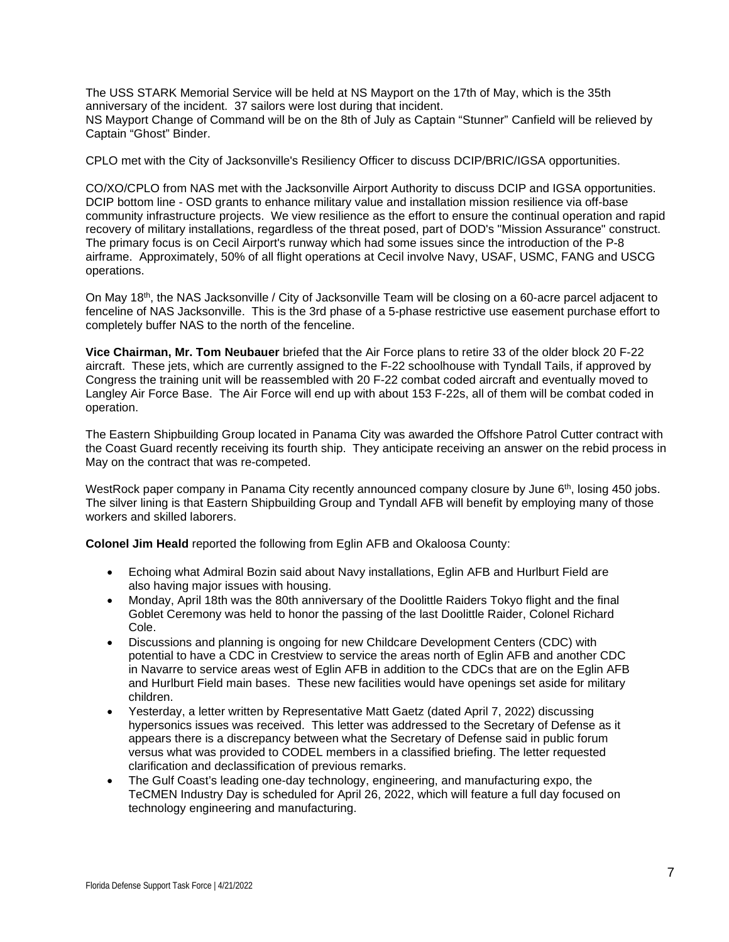The USS STARK Memorial Service will be held at NS Mayport on the 17th of May, which is the 35th anniversary of the incident. 37 sailors were lost during that incident. NS Mayport Change of Command will be on the 8th of July as Captain "Stunner" Canfield will be relieved by Captain "Ghost" Binder.

CPLO met with the City of Jacksonville's Resiliency Officer to discuss DCIP/BRIC/IGSA opportunities.

CO/XO/CPLO from NAS met with the Jacksonville Airport Authority to discuss DCIP and IGSA opportunities. DCIP bottom line - OSD grants to enhance military value and installation mission resilience via off-base community infrastructure projects. We view resilience as the effort to ensure the continual operation and rapid recovery of military installations, regardless of the threat posed, part of DOD's "Mission Assurance" construct. The primary focus is on Cecil Airport's runway which had some issues since the introduction of the P-8 airframe. Approximately, 50% of all flight operations at Cecil involve Navy, USAF, USMC, FANG and USCG operations.

On May 18th, the NAS Jacksonville / City of Jacksonville Team will be closing on a 60-acre parcel adjacent to fenceline of NAS Jacksonville. This is the 3rd phase of a 5-phase restrictive use easement purchase effort to completely buffer NAS to the north of the fenceline.

**Vice Chairman, Mr. Tom Neubauer** briefed that the Air Force plans to retire 33 of the older block 20 F-22 aircraft. These jets, which are currently assigned to the F-22 schoolhouse with Tyndall Tails, if approved by Congress the training unit will be reassembled with 20 F-22 combat coded aircraft and eventually moved to Langley Air Force Base. The Air Force will end up with about 153 F-22s, all of them will be combat coded in operation.

The Eastern Shipbuilding Group located in Panama City was awarded the Offshore Patrol Cutter contract with the Coast Guard recently receiving its fourth ship. They anticipate receiving an answer on the rebid process in May on the contract that was re-competed.

WestRock paper company in Panama City recently announced company closure by June 6th, losing 450 jobs. The silver lining is that Eastern Shipbuilding Group and Tyndall AFB will benefit by employing many of those workers and skilled laborers.

**Colonel Jim Heald** reported the following from Eglin AFB and Okaloosa County:

- Echoing what Admiral Bozin said about Navy installations, Eglin AFB and Hurlburt Field are also having major issues with housing.
- Monday, April 18th was the 80th anniversary of the Doolittle Raiders Tokyo flight and the final Goblet Ceremony was held to honor the passing of the last Doolittle Raider, Colonel Richard Cole.
- Discussions and planning is ongoing for new Childcare Development Centers (CDC) with potential to have a CDC in Crestview to service the areas north of Eglin AFB and another CDC in Navarre to service areas west of Eglin AFB in addition to the CDCs that are on the Eglin AFB and Hurlburt Field main bases. These new facilities would have openings set aside for military children.
- Yesterday, a letter written by Representative Matt Gaetz (dated April 7, 2022) discussing hypersonics issues was received. This letter was addressed to the Secretary of Defense as it appears there is a discrepancy between what the Secretary of Defense said in public forum versus what was provided to CODEL members in a classified briefing. The letter requested clarification and declassification of previous remarks.
- The Gulf Coast's leading one-day technology, engineering, and manufacturing expo, the TeCMEN Industry Day is scheduled for April 26, 2022, which will feature a full day focused on technology engineering and manufacturing.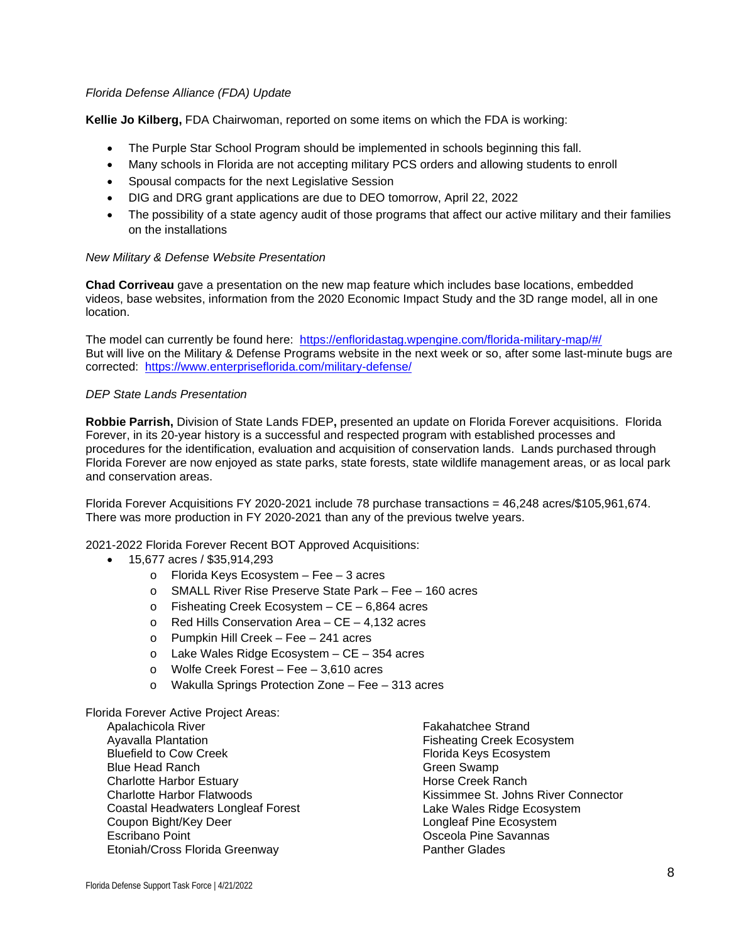#### *Florida Defense Alliance (FDA) Update*

**Kellie Jo Kilberg,** FDA Chairwoman, reported on some items on which the FDA is working:

- The Purple Star School Program should be implemented in schools beginning this fall.
- Many schools in Florida are not accepting military PCS orders and allowing students to enroll
- Spousal compacts for the next Legislative Session
- DIG and DRG grant applications are due to DEO tomorrow, April 22, 2022
- The possibility of a state agency audit of those programs that affect our active military and their families on the installations

#### *New Military & Defense Website Presentation*

**Chad Corriveau** gave a presentation on the new map feature which includes base locations, embedded videos, base websites, information from the 2020 Economic Impact Study and the 3D range model, all in one location.

The model can currently be found here: [https://enfloridastag.wpengine.com/florida-military-map/#/](https://nam10.safelinks.protection.outlook.com/?url=https%3A%2F%2Fenfloridastag.wpengine.com%2Fflorida-military-map%2F%23%2F&data=05%7C01%7Cmgriggs%40enterpriseflorida.com%7C095925e8801e487b521508da2305ba3c%7C8310dbd935bb4e228978e59703aec4bb%7C0%7C0%7C637860804747875326%7CUnknown%7CTWFpbGZsb3d8eyJWIjoiMC4wLjAwMDAiLCJQIjoiV2luMzIiLCJBTiI6Ik1haWwiLCJXVCI6Mn0%3D%7C3000%7C%7C%7C&sdata=NCiFfO71oO%2BXbKaseGDM24bOQyXBxm6jprXFSkifxDc%3D&reserved=0) But will live on the Military & Defense Programs website in the next week or so, after some last-minute bugs are corrected: <https://www.enterpriseflorida.com/military-defense/>

#### *DEP State Lands Presentation*

**Robbie Parrish,** Division of State Lands FDEP**,** presented an update on Florida Forever acquisitions. Florida Forever, in its 20-year history is a successful and respected program with established processes and procedures for the identification, evaluation and acquisition of conservation lands. Lands purchased through Florida Forever are now enjoyed as state parks, state forests, state wildlife management areas, or as local park and conservation areas.

Florida Forever Acquisitions FY 2020-2021 include 78 purchase transactions = 46,248 acres/\$105,961,674. There was more production in FY 2020-2021 than any of the previous twelve years.

2021-2022 Florida Forever Recent BOT Approved Acquisitions:

- 15,677 acres / \$35,914,293
	- o Florida Keys Ecosystem Fee 3 acres
	- o SMALL River Rise Preserve State Park Fee 160 acres
	- $\circ$  Fisheating Creek Ecosystem CE 6,864 acres
	- $\circ$  Red Hills Conservation Area CE 4,132 acres
	- o Pumpkin Hill Creek Fee 241 acres
	- o Lake Wales Ridge Ecosystem CE 354 acres
	- o Wolfe Creek Forest Fee 3,610 acres
	- o Wakulla Springs Protection Zone Fee 313 acres

#### Florida Forever Active Project Areas:

Apalachicola River Ayavalla Plantation Bluefield to Cow Creek Blue Head Ranch Charlotte Harbor Estuary Charlotte Harbor Flatwoods Coastal Headwaters Longleaf Forest Coupon Bight/Key Deer Escribano Point Etoniah/Cross Florida Greenway

Fakahatchee Strand Fisheating Creek Ecosystem Florida Keys Ecosystem Green Swamp Horse Creek Ranch Kissimmee St. Johns River Connector Lake Wales Ridge Ecosystem Longleaf Pine Ecosystem Osceola Pine Savannas Panther Glades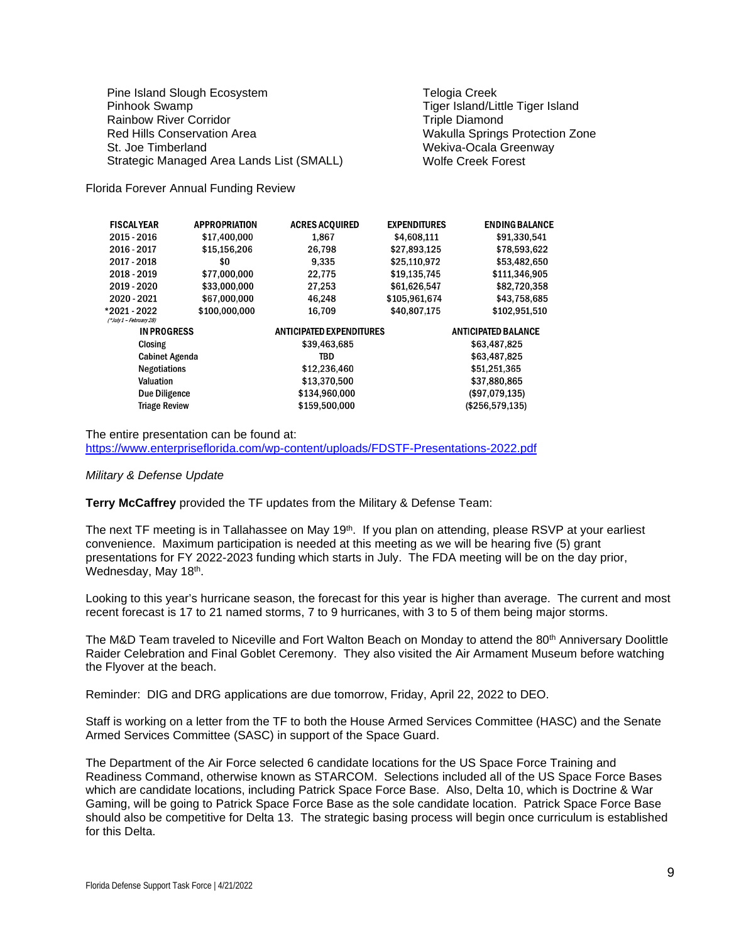Pine Island Slough Ecosystem Pinhook Swamp Rainbow River Corridor Red Hills Conservation Area St. Joe Timberland Strategic Managed Area Lands List (SMALL) Telogia Creek Tiger Island/Little Tiger Island Triple Diamond Wakulla Springs Protection Zone Wekiva-Ocala Greenway Wolfe Creek Forest

Florida Forever Annual Funding Review

| <b>FISCALYEAR</b>       | <b>APPROPRIATION</b> | <b>ACRES ACQUIRED</b>           | <b>EXPENDITURES</b> | <b>ENDING BALANCE</b>      |
|-------------------------|----------------------|---------------------------------|---------------------|----------------------------|
| 2015 - 2016             | \$17,400,000         | 1,867                           | \$4,608,111         | \$91,330,541               |
| 2016 - 2017             | \$15,156,206         | 26,798                          | \$27,893,125        | \$78,593,622               |
| 2017 - 2018             | \$0                  | 9,335                           | \$25,110,972        | \$53,482,650               |
| 2018 - 2019             | \$77,000,000         | 22,775                          | \$19,135,745        | \$111,346,905              |
| 2019 - 2020             | \$33,000,000         | 27,253                          | \$61,626,547        | \$82,720,358               |
| 2020 - 2021             | \$67,000,000         | 46,248                          | \$105,961,674       | \$43,758,685               |
| *2021 - 2022            | \$100,000,000        | 16,709                          | \$40,807,175        | \$102,951,510              |
| (*July 1 - February 28) |                      |                                 |                     |                            |
| <b>IN PROGRESS</b>      |                      | <b>ANTICIPATED EXPENDITURES</b> |                     | <b>ANTICIPATED BALANCE</b> |
| <b>Closing</b>          |                      | \$39,463,685                    |                     | \$63,487,825               |
| <b>Cabinet Agenda</b>   |                      | TBD                             |                     | \$63,487,825               |
| <b>Negotiations</b>     |                      | \$12,236,460                    |                     | \$51,251,365               |
| <b>Valuation</b>        |                      | \$13,370,500                    |                     | \$37,880,865               |
| Due Diligence           |                      | \$134,960,000                   |                     | (\$97,079,135)             |
| <b>Triage Review</b>    |                      | \$159,500,000                   |                     | (\$256,579,135)            |
|                         |                      |                                 |                     |                            |

The entire presentation can be found at: <https://www.enterpriseflorida.com/wp-content/uploads/FDSTF-Presentations-2022.pdf>

#### *Military & Defense Update*

**Terry McCaffrey** provided the TF updates from the Military & Defense Team:

The next TF meeting is in Tallahassee on May 19<sup>th</sup>. If you plan on attending, please RSVP at your earliest convenience. Maximum participation is needed at this meeting as we will be hearing five (5) grant presentations for FY 2022-2023 funding which starts in July. The FDA meeting will be on the day prior, Wednesday, May 18th.

Looking to this year's hurricane season, the forecast for this year is higher than average. The current and most recent forecast is 17 to 21 named storms, 7 to 9 hurricanes, with 3 to 5 of them being major storms.

The M&D Team traveled to Niceville and Fort Walton Beach on Monday to attend the 80<sup>th</sup> Anniversary Doolittle Raider Celebration and Final Goblet Ceremony. They also visited the Air Armament Museum before watching the Flyover at the beach.

Reminder: DIG and DRG applications are due tomorrow, Friday, April 22, 2022 to DEO.

Staff is working on a letter from the TF to both the House Armed Services Committee (HASC) and the Senate Armed Services Committee (SASC) in support of the Space Guard.

The Department of the Air Force selected 6 candidate locations for the US Space Force Training and Readiness Command, otherwise known as STARCOM. Selections included all of the US Space Force Bases which are candidate locations, including Patrick Space Force Base. Also, Delta 10, which is Doctrine & War Gaming, will be going to Patrick Space Force Base as the sole candidate location. Patrick Space Force Base should also be competitive for Delta 13. The strategic basing process will begin once curriculum is established for this Delta.